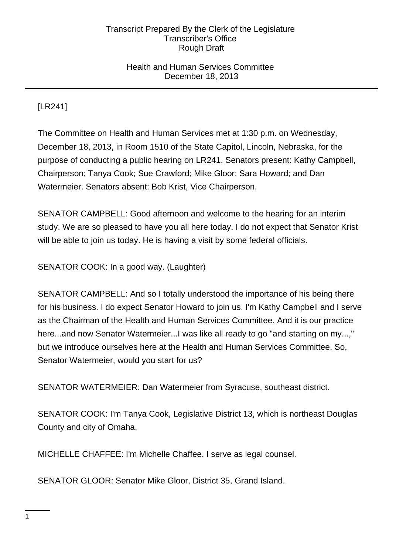## Health and Human Services Committee December 18, 2013

[LR241]

The Committee on Health and Human Services met at 1:30 p.m. on Wednesday, December 18, 2013, in Room 1510 of the State Capitol, Lincoln, Nebraska, for the purpose of conducting a public hearing on LR241. Senators present: Kathy Campbell, Chairperson; Tanya Cook; Sue Crawford; Mike Gloor; Sara Howard; and Dan Watermeier. Senators absent: Bob Krist, Vice Chairperson.

SENATOR CAMPBELL: Good afternoon and welcome to the hearing for an interim study. We are so pleased to have you all here today. I do not expect that Senator Krist will be able to join us today. He is having a visit by some federal officials.

SENATOR COOK: In a good way. (Laughter)

SENATOR CAMPBELL: And so I totally understood the importance of his being there for his business. I do expect Senator Howard to join us. I'm Kathy Campbell and I serve as the Chairman of the Health and Human Services Committee. And it is our practice here...and now Senator Watermeier...I was like all ready to go "and starting on my...," but we introduce ourselves here at the Health and Human Services Committee. So, Senator Watermeier, would you start for us?

SENATOR WATERMEIER: Dan Watermeier from Syracuse, southeast district.

SENATOR COOK: I'm Tanya Cook, Legislative District 13, which is northeast Douglas County and city of Omaha.

MICHELLE CHAFFEE: I'm Michelle Chaffee. I serve as legal counsel.

SENATOR GLOOR: Senator Mike Gloor, District 35, Grand Island.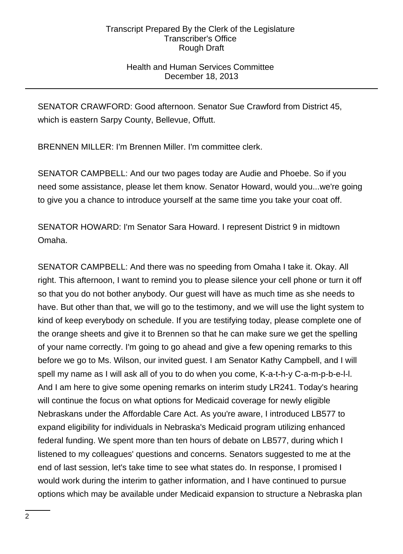## Health and Human Services Committee December 18, 2013

SENATOR CRAWFORD: Good afternoon. Senator Sue Crawford from District 45, which is eastern Sarpy County, Bellevue, Offutt.

BRENNEN MILLER: I'm Brennen Miller. I'm committee clerk.

SENATOR CAMPBELL: And our two pages today are Audie and Phoebe. So if you need some assistance, please let them know. Senator Howard, would you...we're going to give you a chance to introduce yourself at the same time you take your coat off.

SENATOR HOWARD: I'm Senator Sara Howard. I represent District 9 in midtown Omaha.

SENATOR CAMPBELL: And there was no speeding from Omaha I take it. Okay. All right. This afternoon, I want to remind you to please silence your cell phone or turn it off so that you do not bother anybody. Our guest will have as much time as she needs to have. But other than that, we will go to the testimony, and we will use the light system to kind of keep everybody on schedule. If you are testifying today, please complete one of the orange sheets and give it to Brennen so that he can make sure we get the spelling of your name correctly. I'm going to go ahead and give a few opening remarks to this before we go to Ms. Wilson, our invited guest. I am Senator Kathy Campbell, and I will spell my name as I will ask all of you to do when you come, K-a-t-h-y C-a-m-p-b-e-l-l. And I am here to give some opening remarks on interim study LR241. Today's hearing will continue the focus on what options for Medicaid coverage for newly eligible Nebraskans under the Affordable Care Act. As you're aware, I introduced LB577 to expand eligibility for individuals in Nebraska's Medicaid program utilizing enhanced federal funding. We spent more than ten hours of debate on LB577, during which I listened to my colleagues' questions and concerns. Senators suggested to me at the end of last session, let's take time to see what states do. In response, I promised I would work during the interim to gather information, and I have continued to pursue options which may be available under Medicaid expansion to structure a Nebraska plan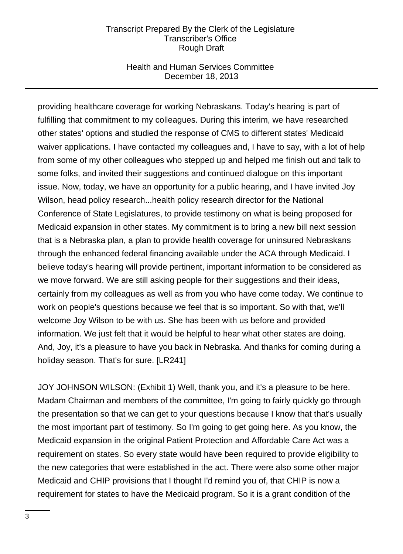## Health and Human Services Committee December 18, 2013

providing healthcare coverage for working Nebraskans. Today's hearing is part of fulfilling that commitment to my colleagues. During this interim, we have researched other states' options and studied the response of CMS to different states' Medicaid waiver applications. I have contacted my colleagues and, I have to say, with a lot of help from some of my other colleagues who stepped up and helped me finish out and talk to some folks, and invited their suggestions and continued dialogue on this important issue. Now, today, we have an opportunity for a public hearing, and I have invited Joy Wilson, head policy research...health policy research director for the National Conference of State Legislatures, to provide testimony on what is being proposed for Medicaid expansion in other states. My commitment is to bring a new bill next session that is a Nebraska plan, a plan to provide health coverage for uninsured Nebraskans through the enhanced federal financing available under the ACA through Medicaid. I believe today's hearing will provide pertinent, important information to be considered as we move forward. We are still asking people for their suggestions and their ideas, certainly from my colleagues as well as from you who have come today. We continue to work on people's questions because we feel that is so important. So with that, we'll welcome Joy Wilson to be with us. She has been with us before and provided information. We just felt that it would be helpful to hear what other states are doing. And, Joy, it's a pleasure to have you back in Nebraska. And thanks for coming during a holiday season. That's for sure. [LR241]

JOY JOHNSON WILSON: (Exhibit 1) Well, thank you, and it's a pleasure to be here. Madam Chairman and members of the committee, I'm going to fairly quickly go through the presentation so that we can get to your questions because I know that that's usually the most important part of testimony. So I'm going to get going here. As you know, the Medicaid expansion in the original Patient Protection and Affordable Care Act was a requirement on states. So every state would have been required to provide eligibility to the new categories that were established in the act. There were also some other major Medicaid and CHIP provisions that I thought I'd remind you of, that CHIP is now a requirement for states to have the Medicaid program. So it is a grant condition of the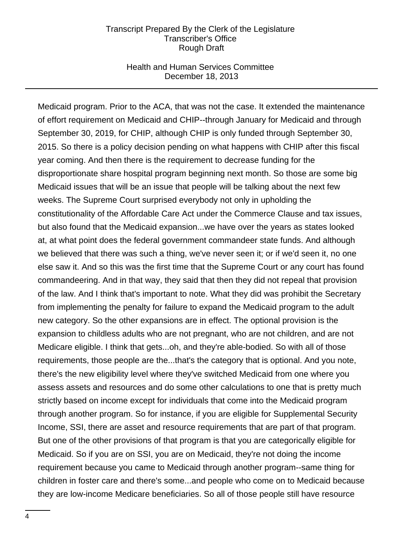## Health and Human Services Committee December 18, 2013

Medicaid program. Prior to the ACA, that was not the case. It extended the maintenance of effort requirement on Medicaid and CHIP--through January for Medicaid and through September 30, 2019, for CHIP, although CHIP is only funded through September 30, 2015. So there is a policy decision pending on what happens with CHIP after this fiscal year coming. And then there is the requirement to decrease funding for the disproportionate share hospital program beginning next month. So those are some big Medicaid issues that will be an issue that people will be talking about the next few weeks. The Supreme Court surprised everybody not only in upholding the constitutionality of the Affordable Care Act under the Commerce Clause and tax issues, but also found that the Medicaid expansion...we have over the years as states looked at, at what point does the federal government commandeer state funds. And although we believed that there was such a thing, we've never seen it; or if we'd seen it, no one else saw it. And so this was the first time that the Supreme Court or any court has found commandeering. And in that way, they said that then they did not repeal that provision of the law. And I think that's important to note. What they did was prohibit the Secretary from implementing the penalty for failure to expand the Medicaid program to the adult new category. So the other expansions are in effect. The optional provision is the expansion to childless adults who are not pregnant, who are not children, and are not Medicare eligible. I think that gets...oh, and they're able-bodied. So with all of those requirements, those people are the...that's the category that is optional. And you note, there's the new eligibility level where they've switched Medicaid from one where you assess assets and resources and do some other calculations to one that is pretty much strictly based on income except for individuals that come into the Medicaid program through another program. So for instance, if you are eligible for Supplemental Security Income, SSI, there are asset and resource requirements that are part of that program. But one of the other provisions of that program is that you are categorically eligible for Medicaid. So if you are on SSI, you are on Medicaid, they're not doing the income requirement because you came to Medicaid through another program--same thing for children in foster care and there's some...and people who come on to Medicaid because they are low-income Medicare beneficiaries. So all of those people still have resource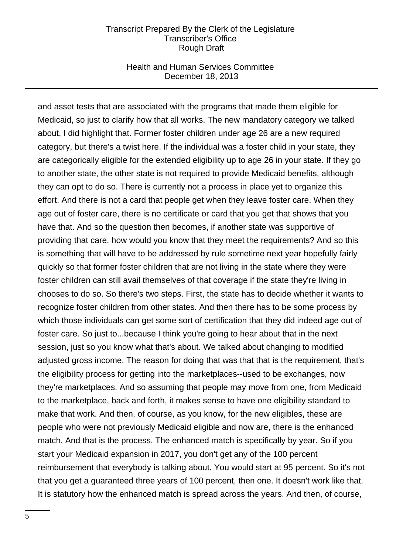## Health and Human Services Committee December 18, 2013

and asset tests that are associated with the programs that made them eligible for Medicaid, so just to clarify how that all works. The new mandatory category we talked about, I did highlight that. Former foster children under age 26 are a new required category, but there's a twist here. If the individual was a foster child in your state, they are categorically eligible for the extended eligibility up to age 26 in your state. If they go to another state, the other state is not required to provide Medicaid benefits, although they can opt to do so. There is currently not a process in place yet to organize this effort. And there is not a card that people get when they leave foster care. When they age out of foster care, there is no certificate or card that you get that shows that you have that. And so the question then becomes, if another state was supportive of providing that care, how would you know that they meet the requirements? And so this is something that will have to be addressed by rule sometime next year hopefully fairly quickly so that former foster children that are not living in the state where they were foster children can still avail themselves of that coverage if the state they're living in chooses to do so. So there's two steps. First, the state has to decide whether it wants to recognize foster children from other states. And then there has to be some process by which those individuals can get some sort of certification that they did indeed age out of foster care. So just to...because I think you're going to hear about that in the next session, just so you know what that's about. We talked about changing to modified adjusted gross income. The reason for doing that was that that is the requirement, that's the eligibility process for getting into the marketplaces--used to be exchanges, now they're marketplaces. And so assuming that people may move from one, from Medicaid to the marketplace, back and forth, it makes sense to have one eligibility standard to make that work. And then, of course, as you know, for the new eligibles, these are people who were not previously Medicaid eligible and now are, there is the enhanced match. And that is the process. The enhanced match is specifically by year. So if you start your Medicaid expansion in 2017, you don't get any of the 100 percent reimbursement that everybody is talking about. You would start at 95 percent. So it's not that you get a guaranteed three years of 100 percent, then one. It doesn't work like that. It is statutory how the enhanced match is spread across the years. And then, of course,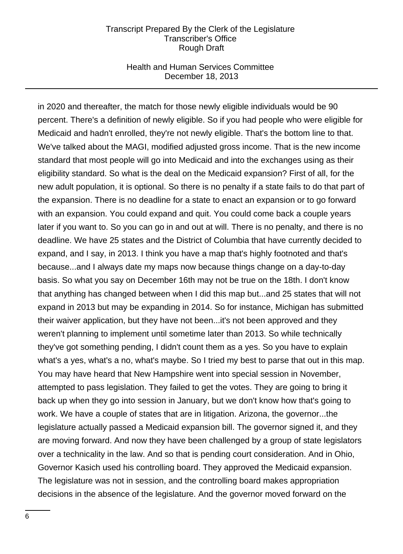## Health and Human Services Committee December 18, 2013

in 2020 and thereafter, the match for those newly eligible individuals would be 90 percent. There's a definition of newly eligible. So if you had people who were eligible for Medicaid and hadn't enrolled, they're not newly eligible. That's the bottom line to that. We've talked about the MAGI, modified adjusted gross income. That is the new income standard that most people will go into Medicaid and into the exchanges using as their eligibility standard. So what is the deal on the Medicaid expansion? First of all, for the new adult population, it is optional. So there is no penalty if a state fails to do that part of the expansion. There is no deadline for a state to enact an expansion or to go forward with an expansion. You could expand and quit. You could come back a couple years later if you want to. So you can go in and out at will. There is no penalty, and there is no deadline. We have 25 states and the District of Columbia that have currently decided to expand, and I say, in 2013. I think you have a map that's highly footnoted and that's because...and I always date my maps now because things change on a day-to-day basis. So what you say on December 16th may not be true on the 18th. I don't know that anything has changed between when I did this map but...and 25 states that will not expand in 2013 but may be expanding in 2014. So for instance, Michigan has submitted their waiver application, but they have not been...it's not been approved and they weren't planning to implement until sometime later than 2013. So while technically they've got something pending, I didn't count them as a yes. So you have to explain what's a yes, what's a no, what's maybe. So I tried my best to parse that out in this map. You may have heard that New Hampshire went into special session in November, attempted to pass legislation. They failed to get the votes. They are going to bring it back up when they go into session in January, but we don't know how that's going to work. We have a couple of states that are in litigation. Arizona, the governor...the legislature actually passed a Medicaid expansion bill. The governor signed it, and they are moving forward. And now they have been challenged by a group of state legislators over a technicality in the law. And so that is pending court consideration. And in Ohio, Governor Kasich used his controlling board. They approved the Medicaid expansion. The legislature was not in session, and the controlling board makes appropriation decisions in the absence of the legislature. And the governor moved forward on the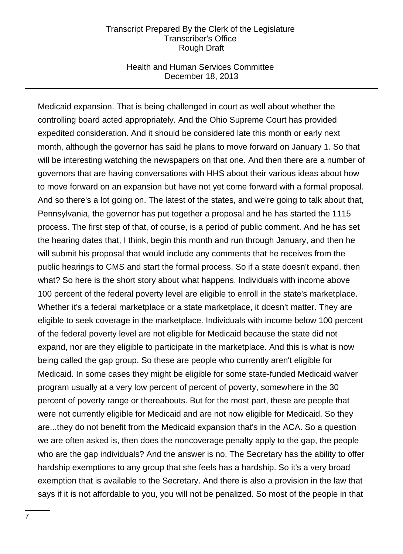## Health and Human Services Committee December 18, 2013

Medicaid expansion. That is being challenged in court as well about whether the controlling board acted appropriately. And the Ohio Supreme Court has provided expedited consideration. And it should be considered late this month or early next month, although the governor has said he plans to move forward on January 1. So that will be interesting watching the newspapers on that one. And then there are a number of governors that are having conversations with HHS about their various ideas about how to move forward on an expansion but have not yet come forward with a formal proposal. And so there's a lot going on. The latest of the states, and we're going to talk about that, Pennsylvania, the governor has put together a proposal and he has started the 1115 process. The first step of that, of course, is a period of public comment. And he has set the hearing dates that, I think, begin this month and run through January, and then he will submit his proposal that would include any comments that he receives from the public hearings to CMS and start the formal process. So if a state doesn't expand, then what? So here is the short story about what happens. Individuals with income above 100 percent of the federal poverty level are eligible to enroll in the state's marketplace. Whether it's a federal marketplace or a state marketplace, it doesn't matter. They are eligible to seek coverage in the marketplace. Individuals with income below 100 percent of the federal poverty level are not eligible for Medicaid because the state did not expand, nor are they eligible to participate in the marketplace. And this is what is now being called the gap group. So these are people who currently aren't eligible for Medicaid. In some cases they might be eligible for some state-funded Medicaid waiver program usually at a very low percent of percent of poverty, somewhere in the 30 percent of poverty range or thereabouts. But for the most part, these are people that were not currently eligible for Medicaid and are not now eligible for Medicaid. So they are...they do not benefit from the Medicaid expansion that's in the ACA. So a question we are often asked is, then does the noncoverage penalty apply to the gap, the people who are the gap individuals? And the answer is no. The Secretary has the ability to offer hardship exemptions to any group that she feels has a hardship. So it's a very broad exemption that is available to the Secretary. And there is also a provision in the law that says if it is not affordable to you, you will not be penalized. So most of the people in that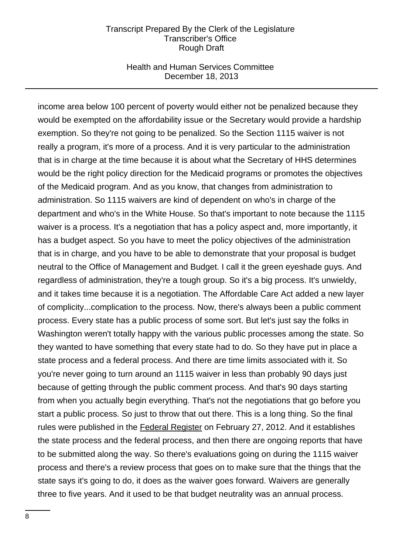### Health and Human Services Committee December 18, 2013

income area below 100 percent of poverty would either not be penalized because they would be exempted on the affordability issue or the Secretary would provide a hardship exemption. So they're not going to be penalized. So the Section 1115 waiver is not really a program, it's more of a process. And it is very particular to the administration that is in charge at the time because it is about what the Secretary of HHS determines would be the right policy direction for the Medicaid programs or promotes the objectives of the Medicaid program. And as you know, that changes from administration to administration. So 1115 waivers are kind of dependent on who's in charge of the department and who's in the White House. So that's important to note because the 1115 waiver is a process. It's a negotiation that has a policy aspect and, more importantly, it has a budget aspect. So you have to meet the policy objectives of the administration that is in charge, and you have to be able to demonstrate that your proposal is budget neutral to the Office of Management and Budget. I call it the green eyeshade guys. And regardless of administration, they're a tough group. So it's a big process. It's unwieldy, and it takes time because it is a negotiation. The Affordable Care Act added a new layer of complicity...complication to the process. Now, there's always been a public comment process. Every state has a public process of some sort. But let's just say the folks in Washington weren't totally happy with the various public processes among the state. So they wanted to have something that every state had to do. So they have put in place a state process and a federal process. And there are time limits associated with it. So you're never going to turn around an 1115 waiver in less than probably 90 days just because of getting through the public comment process. And that's 90 days starting from when you actually begin everything. That's not the negotiations that go before you start a public process. So just to throw that out there. This is a long thing. So the final rules were published in the Federal Register on February 27, 2012. And it establishes the state process and the federal process, and then there are ongoing reports that have to be submitted along the way. So there's evaluations going on during the 1115 waiver process and there's a review process that goes on to make sure that the things that the state says it's going to do, it does as the waiver goes forward. Waivers are generally three to five years. And it used to be that budget neutrality was an annual process.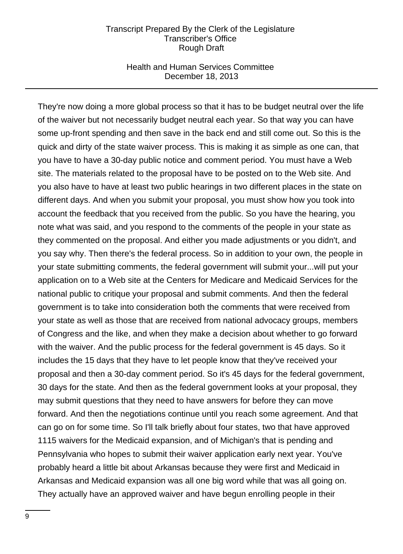## Health and Human Services Committee December 18, 2013

They're now doing a more global process so that it has to be budget neutral over the life of the waiver but not necessarily budget neutral each year. So that way you can have some up-front spending and then save in the back end and still come out. So this is the quick and dirty of the state waiver process. This is making it as simple as one can, that you have to have a 30-day public notice and comment period. You must have a Web site. The materials related to the proposal have to be posted on to the Web site. And you also have to have at least two public hearings in two different places in the state on different days. And when you submit your proposal, you must show how you took into account the feedback that you received from the public. So you have the hearing, you note what was said, and you respond to the comments of the people in your state as they commented on the proposal. And either you made adjustments or you didn't, and you say why. Then there's the federal process. So in addition to your own, the people in your state submitting comments, the federal government will submit your...will put your application on to a Web site at the Centers for Medicare and Medicaid Services for the national public to critique your proposal and submit comments. And then the federal government is to take into consideration both the comments that were received from your state as well as those that are received from national advocacy groups, members of Congress and the like, and when they make a decision about whether to go forward with the waiver. And the public process for the federal government is 45 days. So it includes the 15 days that they have to let people know that they've received your proposal and then a 30-day comment period. So it's 45 days for the federal government, 30 days for the state. And then as the federal government looks at your proposal, they may submit questions that they need to have answers for before they can move forward. And then the negotiations continue until you reach some agreement. And that can go on for some time. So I'll talk briefly about four states, two that have approved 1115 waivers for the Medicaid expansion, and of Michigan's that is pending and Pennsylvania who hopes to submit their waiver application early next year. You've probably heard a little bit about Arkansas because they were first and Medicaid in Arkansas and Medicaid expansion was all one big word while that was all going on. They actually have an approved waiver and have begun enrolling people in their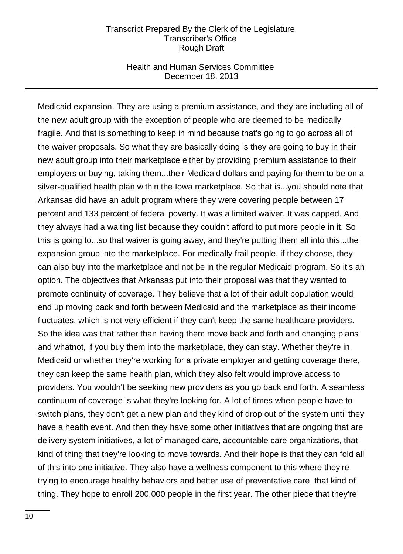## Health and Human Services Committee December 18, 2013

Medicaid expansion. They are using a premium assistance, and they are including all of the new adult group with the exception of people who are deemed to be medically fragile. And that is something to keep in mind because that's going to go across all of the waiver proposals. So what they are basically doing is they are going to buy in their new adult group into their marketplace either by providing premium assistance to their employers or buying, taking them...their Medicaid dollars and paying for them to be on a silver-qualified health plan within the Iowa marketplace. So that is...you should note that Arkansas did have an adult program where they were covering people between 17 percent and 133 percent of federal poverty. It was a limited waiver. It was capped. And they always had a waiting list because they couldn't afford to put more people in it. So this is going to...so that waiver is going away, and they're putting them all into this...the expansion group into the marketplace. For medically frail people, if they choose, they can also buy into the marketplace and not be in the regular Medicaid program. So it's an option. The objectives that Arkansas put into their proposal was that they wanted to promote continuity of coverage. They believe that a lot of their adult population would end up moving back and forth between Medicaid and the marketplace as their income fluctuates, which is not very efficient if they can't keep the same healthcare providers. So the idea was that rather than having them move back and forth and changing plans and whatnot, if you buy them into the marketplace, they can stay. Whether they're in Medicaid or whether they're working for a private employer and getting coverage there, they can keep the same health plan, which they also felt would improve access to providers. You wouldn't be seeking new providers as you go back and forth. A seamless continuum of coverage is what they're looking for. A lot of times when people have to switch plans, they don't get a new plan and they kind of drop out of the system until they have a health event. And then they have some other initiatives that are ongoing that are delivery system initiatives, a lot of managed care, accountable care organizations, that kind of thing that they're looking to move towards. And their hope is that they can fold all of this into one initiative. They also have a wellness component to this where they're trying to encourage healthy behaviors and better use of preventative care, that kind of thing. They hope to enroll 200,000 people in the first year. The other piece that they're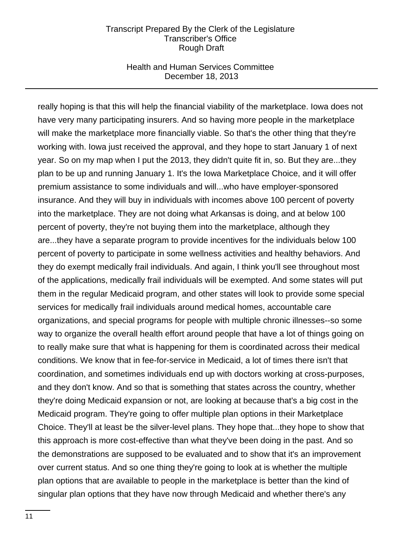## Health and Human Services Committee December 18, 2013

really hoping is that this will help the financial viability of the marketplace. Iowa does not have very many participating insurers. And so having more people in the marketplace will make the marketplace more financially viable. So that's the other thing that they're working with. Iowa just received the approval, and they hope to start January 1 of next year. So on my map when I put the 2013, they didn't quite fit in, so. But they are...they plan to be up and running January 1. It's the Iowa Marketplace Choice, and it will offer premium assistance to some individuals and will...who have employer-sponsored insurance. And they will buy in individuals with incomes above 100 percent of poverty into the marketplace. They are not doing what Arkansas is doing, and at below 100 percent of poverty, they're not buying them into the marketplace, although they are...they have a separate program to provide incentives for the individuals below 100 percent of poverty to participate in some wellness activities and healthy behaviors. And they do exempt medically frail individuals. And again, I think you'll see throughout most of the applications, medically frail individuals will be exempted. And some states will put them in the regular Medicaid program, and other states will look to provide some special services for medically frail individuals around medical homes, accountable care organizations, and special programs for people with multiple chronic illnesses--so some way to organize the overall health effort around people that have a lot of things going on to really make sure that what is happening for them is coordinated across their medical conditions. We know that in fee-for-service in Medicaid, a lot of times there isn't that coordination, and sometimes individuals end up with doctors working at cross-purposes, and they don't know. And so that is something that states across the country, whether they're doing Medicaid expansion or not, are looking at because that's a big cost in the Medicaid program. They're going to offer multiple plan options in their Marketplace Choice. They'll at least be the silver-level plans. They hope that...they hope to show that this approach is more cost-effective than what they've been doing in the past. And so the demonstrations are supposed to be evaluated and to show that it's an improvement over current status. And so one thing they're going to look at is whether the multiple plan options that are available to people in the marketplace is better than the kind of singular plan options that they have now through Medicaid and whether there's any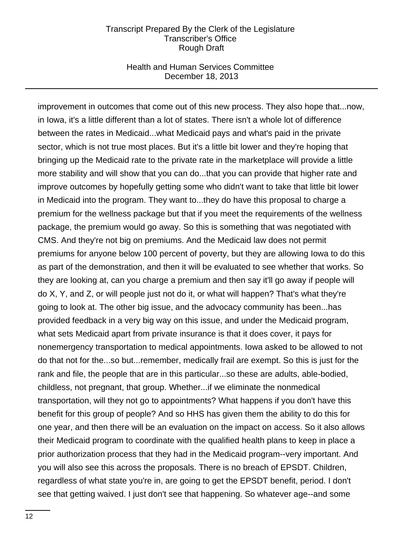## Health and Human Services Committee December 18, 2013

improvement in outcomes that come out of this new process. They also hope that...now, in Iowa, it's a little different than a lot of states. There isn't a whole lot of difference between the rates in Medicaid...what Medicaid pays and what's paid in the private sector, which is not true most places. But it's a little bit lower and they're hoping that bringing up the Medicaid rate to the private rate in the marketplace will provide a little more stability and will show that you can do...that you can provide that higher rate and improve outcomes by hopefully getting some who didn't want to take that little bit lower in Medicaid into the program. They want to...they do have this proposal to charge a premium for the wellness package but that if you meet the requirements of the wellness package, the premium would go away. So this is something that was negotiated with CMS. And they're not big on premiums. And the Medicaid law does not permit premiums for anyone below 100 percent of poverty, but they are allowing Iowa to do this as part of the demonstration, and then it will be evaluated to see whether that works. So they are looking at, can you charge a premium and then say it'll go away if people will do X, Y, and Z, or will people just not do it, or what will happen? That's what they're going to look at. The other big issue, and the advocacy community has been...has provided feedback in a very big way on this issue, and under the Medicaid program, what sets Medicaid apart from private insurance is that it does cover, it pays for nonemergency transportation to medical appointments. Iowa asked to be allowed to not do that not for the...so but...remember, medically frail are exempt. So this is just for the rank and file, the people that are in this particular...so these are adults, able-bodied, childless, not pregnant, that group. Whether...if we eliminate the nonmedical transportation, will they not go to appointments? What happens if you don't have this benefit for this group of people? And so HHS has given them the ability to do this for one year, and then there will be an evaluation on the impact on access. So it also allows their Medicaid program to coordinate with the qualified health plans to keep in place a prior authorization process that they had in the Medicaid program--very important. And you will also see this across the proposals. There is no breach of EPSDT. Children, regardless of what state you're in, are going to get the EPSDT benefit, period. I don't see that getting waived. I just don't see that happening. So whatever age--and some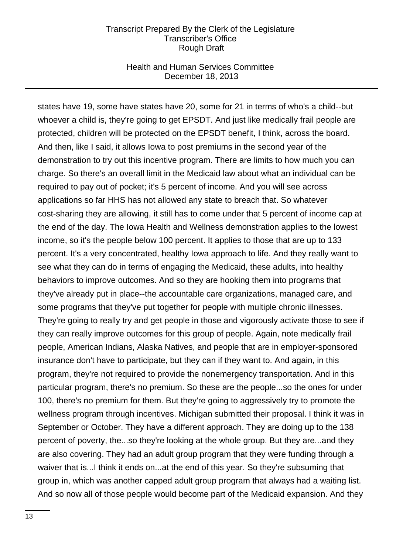## Health and Human Services Committee December 18, 2013

states have 19, some have states have 20, some for 21 in terms of who's a child--but whoever a child is, they're going to get EPSDT. And just like medically frail people are protected, children will be protected on the EPSDT benefit, I think, across the board. And then, like I said, it allows Iowa to post premiums in the second year of the demonstration to try out this incentive program. There are limits to how much you can charge. So there's an overall limit in the Medicaid law about what an individual can be required to pay out of pocket; it's 5 percent of income. And you will see across applications so far HHS has not allowed any state to breach that. So whatever cost-sharing they are allowing, it still has to come under that 5 percent of income cap at the end of the day. The Iowa Health and Wellness demonstration applies to the lowest income, so it's the people below 100 percent. It applies to those that are up to 133 percent. It's a very concentrated, healthy Iowa approach to life. And they really want to see what they can do in terms of engaging the Medicaid, these adults, into healthy behaviors to improve outcomes. And so they are hooking them into programs that they've already put in place--the accountable care organizations, managed care, and some programs that they've put together for people with multiple chronic illnesses. They're going to really try and get people in those and vigorously activate those to see if they can really improve outcomes for this group of people. Again, note medically frail people, American Indians, Alaska Natives, and people that are in employer-sponsored insurance don't have to participate, but they can if they want to. And again, in this program, they're not required to provide the nonemergency transportation. And in this particular program, there's no premium. So these are the people...so the ones for under 100, there's no premium for them. But they're going to aggressively try to promote the wellness program through incentives. Michigan submitted their proposal. I think it was in September or October. They have a different approach. They are doing up to the 138 percent of poverty, the...so they're looking at the whole group. But they are...and they are also covering. They had an adult group program that they were funding through a waiver that is...I think it ends on...at the end of this year. So they're subsuming that group in, which was another capped adult group program that always had a waiting list. And so now all of those people would become part of the Medicaid expansion. And they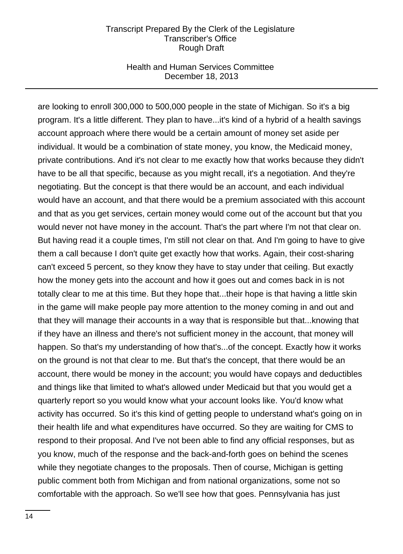## Health and Human Services Committee December 18, 2013

are looking to enroll 300,000 to 500,000 people in the state of Michigan. So it's a big program. It's a little different. They plan to have...it's kind of a hybrid of a health savings account approach where there would be a certain amount of money set aside per individual. It would be a combination of state money, you know, the Medicaid money, private contributions. And it's not clear to me exactly how that works because they didn't have to be all that specific, because as you might recall, it's a negotiation. And they're negotiating. But the concept is that there would be an account, and each individual would have an account, and that there would be a premium associated with this account and that as you get services, certain money would come out of the account but that you would never not have money in the account. That's the part where I'm not that clear on. But having read it a couple times, I'm still not clear on that. And I'm going to have to give them a call because I don't quite get exactly how that works. Again, their cost-sharing can't exceed 5 percent, so they know they have to stay under that ceiling. But exactly how the money gets into the account and how it goes out and comes back in is not totally clear to me at this time. But they hope that...their hope is that having a little skin in the game will make people pay more attention to the money coming in and out and that they will manage their accounts in a way that is responsible but that...knowing that if they have an illness and there's not sufficient money in the account, that money will happen. So that's my understanding of how that's...of the concept. Exactly how it works on the ground is not that clear to me. But that's the concept, that there would be an account, there would be money in the account; you would have copays and deductibles and things like that limited to what's allowed under Medicaid but that you would get a quarterly report so you would know what your account looks like. You'd know what activity has occurred. So it's this kind of getting people to understand what's going on in their health life and what expenditures have occurred. So they are waiting for CMS to respond to their proposal. And I've not been able to find any official responses, but as you know, much of the response and the back-and-forth goes on behind the scenes while they negotiate changes to the proposals. Then of course, Michigan is getting public comment both from Michigan and from national organizations, some not so comfortable with the approach. So we'll see how that goes. Pennsylvania has just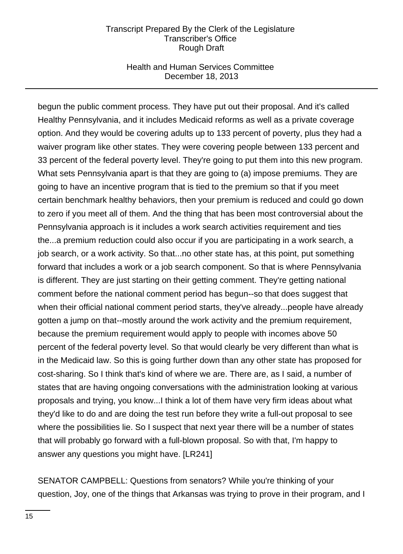## Health and Human Services Committee December 18, 2013

begun the public comment process. They have put out their proposal. And it's called Healthy Pennsylvania, and it includes Medicaid reforms as well as a private coverage option. And they would be covering adults up to 133 percent of poverty, plus they had a waiver program like other states. They were covering people between 133 percent and 33 percent of the federal poverty level. They're going to put them into this new program. What sets Pennsylvania apart is that they are going to (a) impose premiums. They are going to have an incentive program that is tied to the premium so that if you meet certain benchmark healthy behaviors, then your premium is reduced and could go down to zero if you meet all of them. And the thing that has been most controversial about the Pennsylvania approach is it includes a work search activities requirement and ties the...a premium reduction could also occur if you are participating in a work search, a job search, or a work activity. So that...no other state has, at this point, put something forward that includes a work or a job search component. So that is where Pennsylvania is different. They are just starting on their getting comment. They're getting national comment before the national comment period has begun--so that does suggest that when their official national comment period starts, they've already...people have already gotten a jump on that--mostly around the work activity and the premium requirement, because the premium requirement would apply to people with incomes above 50 percent of the federal poverty level. So that would clearly be very different than what is in the Medicaid law. So this is going further down than any other state has proposed for cost-sharing. So I think that's kind of where we are. There are, as I said, a number of states that are having ongoing conversations with the administration looking at various proposals and trying, you know...I think a lot of them have very firm ideas about what they'd like to do and are doing the test run before they write a full-out proposal to see where the possibilities lie. So I suspect that next year there will be a number of states that will probably go forward with a full-blown proposal. So with that, I'm happy to answer any questions you might have. [LR241]

SENATOR CAMPBELL: Questions from senators? While you're thinking of your question, Joy, one of the things that Arkansas was trying to prove in their program, and I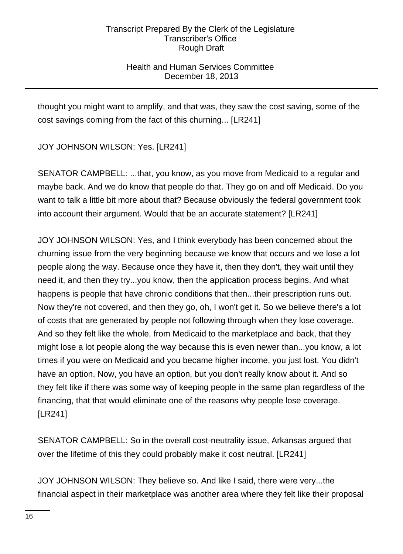# Health and Human Services Committee December 18, 2013

thought you might want to amplify, and that was, they saw the cost saving, some of the cost savings coming from the fact of this churning... [LR241]

JOY JOHNSON WILSON: Yes. [LR241]

SENATOR CAMPBELL: ...that, you know, as you move from Medicaid to a regular and maybe back. And we do know that people do that. They go on and off Medicaid. Do you want to talk a little bit more about that? Because obviously the federal government took into account their argument. Would that be an accurate statement? [LR241]

JOY JOHNSON WILSON: Yes, and I think everybody has been concerned about the churning issue from the very beginning because we know that occurs and we lose a lot people along the way. Because once they have it, then they don't, they wait until they need it, and then they try...you know, then the application process begins. And what happens is people that have chronic conditions that then...their prescription runs out. Now they're not covered, and then they go, oh, I won't get it. So we believe there's a lot of costs that are generated by people not following through when they lose coverage. And so they felt like the whole, from Medicaid to the marketplace and back, that they might lose a lot people along the way because this is even newer than...you know, a lot times if you were on Medicaid and you became higher income, you just lost. You didn't have an option. Now, you have an option, but you don't really know about it. And so they felt like if there was some way of keeping people in the same plan regardless of the financing, that that would eliminate one of the reasons why people lose coverage. [LR241]

SENATOR CAMPBELL: So in the overall cost-neutrality issue, Arkansas argued that over the lifetime of this they could probably make it cost neutral. [LR241]

JOY JOHNSON WILSON: They believe so. And like I said, there were very...the financial aspect in their marketplace was another area where they felt like their proposal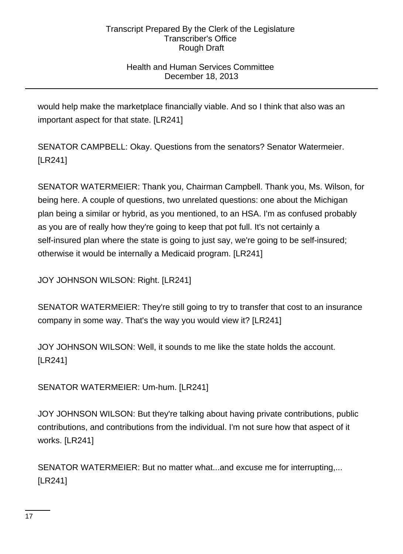# Health and Human Services Committee December 18, 2013

would help make the marketplace financially viable. And so I think that also was an important aspect for that state. [LR241]

SENATOR CAMPBELL: Okay. Questions from the senators? Senator Watermeier. [LR241]

SENATOR WATERMEIER: Thank you, Chairman Campbell. Thank you, Ms. Wilson, for being here. A couple of questions, two unrelated questions: one about the Michigan plan being a similar or hybrid, as you mentioned, to an HSA. I'm as confused probably as you are of really how they're going to keep that pot full. It's not certainly a self-insured plan where the state is going to just say, we're going to be self-insured; otherwise it would be internally a Medicaid program. [LR241]

JOY JOHNSON WILSON: Right. [LR241]

SENATOR WATERMEIER: They're still going to try to transfer that cost to an insurance company in some way. That's the way you would view it? [LR241]

JOY JOHNSON WILSON: Well, it sounds to me like the state holds the account. [LR241]

SENATOR WATERMEIER: Um-hum. [LR241]

JOY JOHNSON WILSON: But they're talking about having private contributions, public contributions, and contributions from the individual. I'm not sure how that aspect of it works. [LR241]

SENATOR WATERMEIER: But no matter what...and excuse me for interrupting,... [LR241]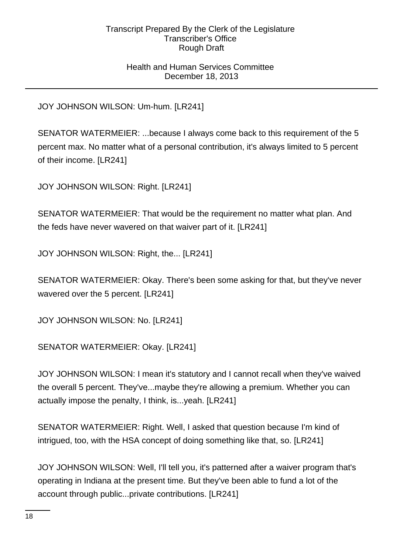## Health and Human Services Committee December 18, 2013

JOY JOHNSON WILSON: Um-hum. [LR241]

SENATOR WATERMEIER: ...because I always come back to this requirement of the 5 percent max. No matter what of a personal contribution, it's always limited to 5 percent of their income. [LR241]

JOY JOHNSON WILSON: Right. [LR241]

SENATOR WATERMEIER: That would be the requirement no matter what plan. And the feds have never wavered on that waiver part of it. [LR241]

JOY JOHNSON WILSON: Right, the... [LR241]

SENATOR WATERMEIER: Okay. There's been some asking for that, but they've never wavered over the 5 percent. [LR241]

JOY JOHNSON WILSON: No. [LR241]

SENATOR WATERMEIER: Okay. [LR241]

JOY JOHNSON WILSON: I mean it's statutory and I cannot recall when they've waived the overall 5 percent. They've...maybe they're allowing a premium. Whether you can actually impose the penalty, I think, is...yeah. [LR241]

SENATOR WATERMEIER: Right. Well, I asked that question because I'm kind of intrigued, too, with the HSA concept of doing something like that, so. [LR241]

JOY JOHNSON WILSON: Well, I'll tell you, it's patterned after a waiver program that's operating in Indiana at the present time. But they've been able to fund a lot of the account through public...private contributions. [LR241]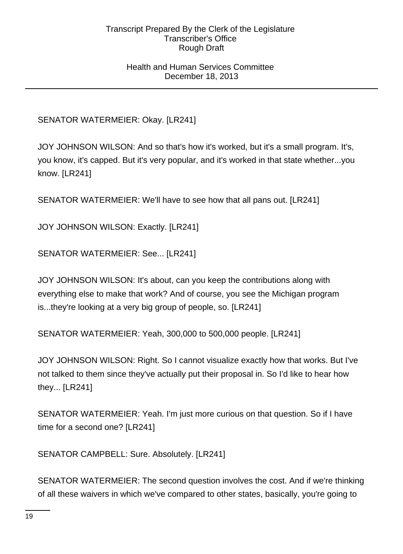## Health and Human Services Committee December 18, 2013

# SENATOR WATERMEIER: Okay. [LR241]

JOY JOHNSON WILSON: And so that's how it's worked, but it's a small program. It's, you know, it's capped. But it's very popular, and it's worked in that state whether...you know. [LR241]

SENATOR WATERMEIER: We'll have to see how that all pans out. [LR241]

JOY JOHNSON WILSON: Exactly. [LR241]

SENATOR WATERMEIER: See... [LR241]

JOY JOHNSON WILSON: It's about, can you keep the contributions along with everything else to make that work? And of course, you see the Michigan program is...they're looking at a very big group of people, so. [LR241]

SENATOR WATERMEIER: Yeah, 300,000 to 500,000 people. [LR241]

JOY JOHNSON WILSON: Right. So I cannot visualize exactly how that works. But I've not talked to them since they've actually put their proposal in. So I'd like to hear how they... [LR241]

SENATOR WATERMEIER: Yeah. I'm just more curious on that question. So if I have time for a second one? [LR241]

SENATOR CAMPBELL: Sure. Absolutely. [LR241]

SENATOR WATERMEIER: The second question involves the cost. And if we're thinking of all these waivers in which we've compared to other states, basically, you're going to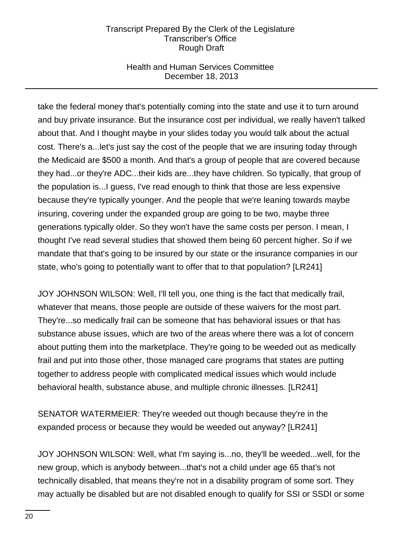# Health and Human Services Committee December 18, 2013

take the federal money that's potentially coming into the state and use it to turn around and buy private insurance. But the insurance cost per individual, we really haven't talked about that. And I thought maybe in your slides today you would talk about the actual cost. There's a...let's just say the cost of the people that we are insuring today through the Medicaid are \$500 a month. And that's a group of people that are covered because they had...or they're ADC...their kids are...they have children. So typically, that group of the population is...I guess, I've read enough to think that those are less expensive because they're typically younger. And the people that we're leaning towards maybe insuring, covering under the expanded group are going to be two, maybe three generations typically older. So they won't have the same costs per person. I mean, I thought I've read several studies that showed them being 60 percent higher. So if we mandate that that's going to be insured by our state or the insurance companies in our state, who's going to potentially want to offer that to that population? [LR241]

JOY JOHNSON WILSON: Well, I'll tell you, one thing is the fact that medically frail, whatever that means, those people are outside of these waivers for the most part. They're...so medically frail can be someone that has behavioral issues or that has substance abuse issues, which are two of the areas where there was a lot of concern about putting them into the marketplace. They're going to be weeded out as medically frail and put into those other, those managed care programs that states are putting together to address people with complicated medical issues which would include behavioral health, substance abuse, and multiple chronic illnesses. [LR241]

SENATOR WATERMEIER: They're weeded out though because they're in the expanded process or because they would be weeded out anyway? [LR241]

JOY JOHNSON WILSON: Well, what I'm saying is...no, they'll be weeded...well, for the new group, which is anybody between...that's not a child under age 65 that's not technically disabled, that means they're not in a disability program of some sort. They may actually be disabled but are not disabled enough to qualify for SSI or SSDI or some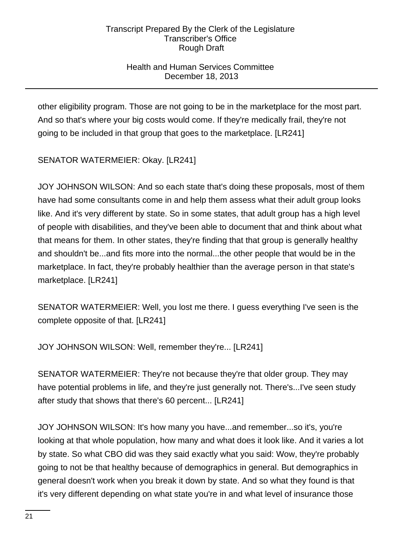# Health and Human Services Committee December 18, 2013

other eligibility program. Those are not going to be in the marketplace for the most part. And so that's where your big costs would come. If they're medically frail, they're not going to be included in that group that goes to the marketplace. [LR241]

SENATOR WATERMEIER: Okay. [LR241]

JOY JOHNSON WILSON: And so each state that's doing these proposals, most of them have had some consultants come in and help them assess what their adult group looks like. And it's very different by state. So in some states, that adult group has a high level of people with disabilities, and they've been able to document that and think about what that means for them. In other states, they're finding that that group is generally healthy and shouldn't be...and fits more into the normal...the other people that would be in the marketplace. In fact, they're probably healthier than the average person in that state's marketplace. [LR241]

SENATOR WATERMEIER: Well, you lost me there. I guess everything I've seen is the complete opposite of that. [LR241]

JOY JOHNSON WILSON: Well, remember they're... [LR241]

SENATOR WATERMEIER: They're not because they're that older group. They may have potential problems in life, and they're just generally not. There's...I've seen study after study that shows that there's 60 percent... [LR241]

JOY JOHNSON WILSON: It's how many you have...and remember...so it's, you're looking at that whole population, how many and what does it look like. And it varies a lot by state. So what CBO did was they said exactly what you said: Wow, they're probably going to not be that healthy because of demographics in general. But demographics in general doesn't work when you break it down by state. And so what they found is that it's very different depending on what state you're in and what level of insurance those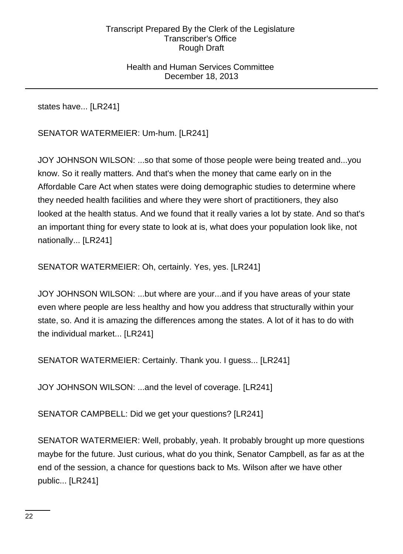## Health and Human Services Committee December 18, 2013

states have... [LR241]

SENATOR WATERMEIER: Um-hum. [LR241]

JOY JOHNSON WILSON: ...so that some of those people were being treated and...you know. So it really matters. And that's when the money that came early on in the Affordable Care Act when states were doing demographic studies to determine where they needed health facilities and where they were short of practitioners, they also looked at the health status. And we found that it really varies a lot by state. And so that's an important thing for every state to look at is, what does your population look like, not nationally... [LR241]

SENATOR WATERMEIER: Oh, certainly. Yes, yes. [LR241]

JOY JOHNSON WILSON: ...but where are your...and if you have areas of your state even where people are less healthy and how you address that structurally within your state, so. And it is amazing the differences among the states. A lot of it has to do with the individual market... [LR241]

SENATOR WATERMEIER: Certainly. Thank you. I guess... [LR241]

JOY JOHNSON WILSON: ...and the level of coverage. [LR241]

SENATOR CAMPBELL: Did we get your questions? [LR241]

SENATOR WATERMEIER: Well, probably, yeah. It probably brought up more questions maybe for the future. Just curious, what do you think, Senator Campbell, as far as at the end of the session, a chance for questions back to Ms. Wilson after we have other public... [LR241]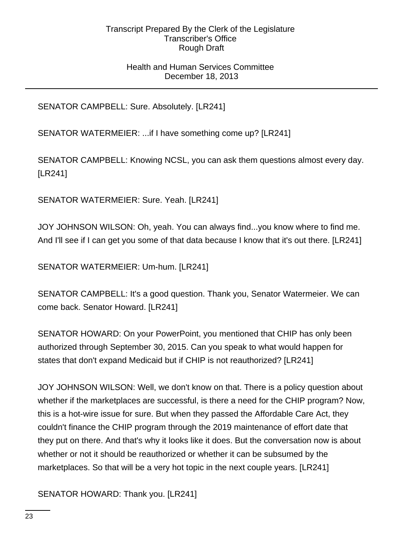## Health and Human Services Committee December 18, 2013

SENATOR CAMPBELL: Sure. Absolutely. [LR241]

SENATOR WATERMEIER: ...if I have something come up? [LR241]

SENATOR CAMPBELL: Knowing NCSL, you can ask them questions almost every day. [LR241]

SENATOR WATERMEIER: Sure. Yeah. [LR241]

JOY JOHNSON WILSON: Oh, yeah. You can always find...you know where to find me. And I'll see if I can get you some of that data because I know that it's out there. [LR241]

SENATOR WATERMEIER: Um-hum. [LR241]

SENATOR CAMPBELL: It's a good question. Thank you, Senator Watermeier. We can come back. Senator Howard. [LR241]

SENATOR HOWARD: On your PowerPoint, you mentioned that CHIP has only been authorized through September 30, 2015. Can you speak to what would happen for states that don't expand Medicaid but if CHIP is not reauthorized? [LR241]

JOY JOHNSON WILSON: Well, we don't know on that. There is a policy question about whether if the marketplaces are successful, is there a need for the CHIP program? Now, this is a hot-wire issue for sure. But when they passed the Affordable Care Act, they couldn't finance the CHIP program through the 2019 maintenance of effort date that they put on there. And that's why it looks like it does. But the conversation now is about whether or not it should be reauthorized or whether it can be subsumed by the marketplaces. So that will be a very hot topic in the next couple years. [LR241]

SENATOR HOWARD: Thank you. [LR241]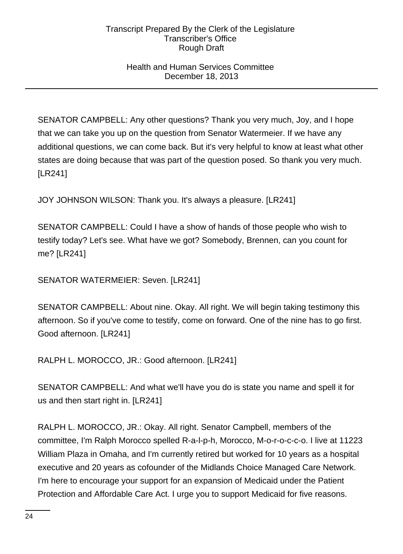## Health and Human Services Committee December 18, 2013

SENATOR CAMPBELL: Any other questions? Thank you very much, Joy, and I hope that we can take you up on the question from Senator Watermeier. If we have any additional questions, we can come back. But it's very helpful to know at least what other states are doing because that was part of the question posed. So thank you very much. [LR241]

JOY JOHNSON WILSON: Thank you. It's always a pleasure. [LR241]

SENATOR CAMPBELL: Could I have a show of hands of those people who wish to testify today? Let's see. What have we got? Somebody, Brennen, can you count for me? [LR241]

SENATOR WATERMEIER: Seven. [LR241]

SENATOR CAMPBELL: About nine. Okay. All right. We will begin taking testimony this afternoon. So if you've come to testify, come on forward. One of the nine has to go first. Good afternoon. [LR241]

RALPH L. MOROCCO, JR.: Good afternoon. [LR241]

SENATOR CAMPBELL: And what we'll have you do is state you name and spell it for us and then start right in. [LR241]

RALPH L. MOROCCO, JR.: Okay. All right. Senator Campbell, members of the committee, I'm Ralph Morocco spelled R-a-l-p-h, Morocco, M-o-r-o-c-c-o. I live at 11223 William Plaza in Omaha, and I'm currently retired but worked for 10 years as a hospital executive and 20 years as cofounder of the Midlands Choice Managed Care Network. I'm here to encourage your support for an expansion of Medicaid under the Patient Protection and Affordable Care Act. I urge you to support Medicaid for five reasons.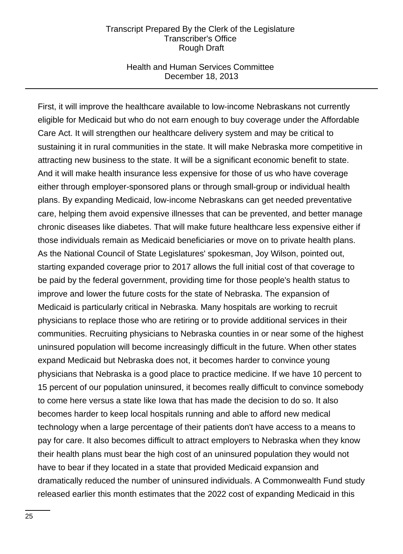## Health and Human Services Committee December 18, 2013

First, it will improve the healthcare available to low-income Nebraskans not currently eligible for Medicaid but who do not earn enough to buy coverage under the Affordable Care Act. It will strengthen our healthcare delivery system and may be critical to sustaining it in rural communities in the state. It will make Nebraska more competitive in attracting new business to the state. It will be a significant economic benefit to state. And it will make health insurance less expensive for those of us who have coverage either through employer-sponsored plans or through small-group or individual health plans. By expanding Medicaid, low-income Nebraskans can get needed preventative care, helping them avoid expensive illnesses that can be prevented, and better manage chronic diseases like diabetes. That will make future healthcare less expensive either if those individuals remain as Medicaid beneficiaries or move on to private health plans. As the National Council of State Legislatures' spokesman, Joy Wilson, pointed out, starting expanded coverage prior to 2017 allows the full initial cost of that coverage to be paid by the federal government, providing time for those people's health status to improve and lower the future costs for the state of Nebraska. The expansion of Medicaid is particularly critical in Nebraska. Many hospitals are working to recruit physicians to replace those who are retiring or to provide additional services in their communities. Recruiting physicians to Nebraska counties in or near some of the highest uninsured population will become increasingly difficult in the future. When other states expand Medicaid but Nebraska does not, it becomes harder to convince young physicians that Nebraska is a good place to practice medicine. If we have 10 percent to 15 percent of our population uninsured, it becomes really difficult to convince somebody to come here versus a state like Iowa that has made the decision to do so. It also becomes harder to keep local hospitals running and able to afford new medical technology when a large percentage of their patients don't have access to a means to pay for care. It also becomes difficult to attract employers to Nebraska when they know their health plans must bear the high cost of an uninsured population they would not have to bear if they located in a state that provided Medicaid expansion and dramatically reduced the number of uninsured individuals. A Commonwealth Fund study released earlier this month estimates that the 2022 cost of expanding Medicaid in this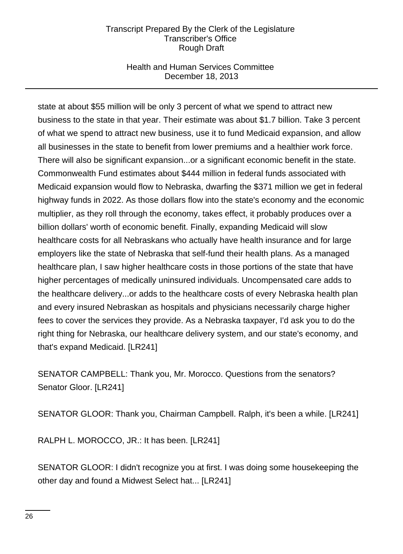## Health and Human Services Committee December 18, 2013

state at about \$55 million will be only 3 percent of what we spend to attract new business to the state in that year. Their estimate was about \$1.7 billion. Take 3 percent of what we spend to attract new business, use it to fund Medicaid expansion, and allow all businesses in the state to benefit from lower premiums and a healthier work force. There will also be significant expansion...or a significant economic benefit in the state. Commonwealth Fund estimates about \$444 million in federal funds associated with Medicaid expansion would flow to Nebraska, dwarfing the \$371 million we get in federal highway funds in 2022. As those dollars flow into the state's economy and the economic multiplier, as they roll through the economy, takes effect, it probably produces over a billion dollars' worth of economic benefit. Finally, expanding Medicaid will slow healthcare costs for all Nebraskans who actually have health insurance and for large employers like the state of Nebraska that self-fund their health plans. As a managed healthcare plan, I saw higher healthcare costs in those portions of the state that have higher percentages of medically uninsured individuals. Uncompensated care adds to the healthcare delivery...or adds to the healthcare costs of every Nebraska health plan and every insured Nebraskan as hospitals and physicians necessarily charge higher fees to cover the services they provide. As a Nebraska taxpayer, I'd ask you to do the right thing for Nebraska, our healthcare delivery system, and our state's economy, and that's expand Medicaid. [LR241]

SENATOR CAMPBELL: Thank you, Mr. Morocco. Questions from the senators? Senator Gloor. [LR241]

SENATOR GLOOR: Thank you, Chairman Campbell. Ralph, it's been a while. [LR241]

RALPH L. MOROCCO, JR.: It has been. [LR241]

SENATOR GLOOR: I didn't recognize you at first. I was doing some housekeeping the other day and found a Midwest Select hat... [LR241]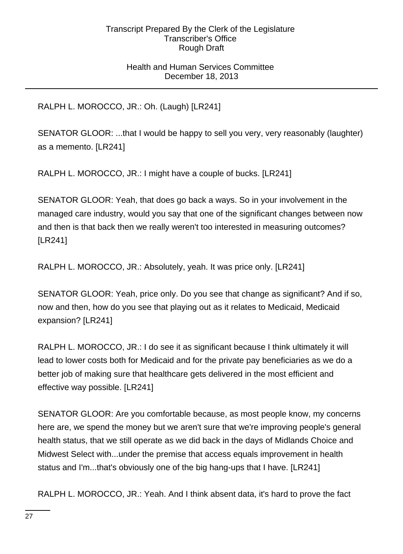# Health and Human Services Committee December 18, 2013

RALPH L. MOROCCO, JR.: Oh. (Laugh) [LR241]

SENATOR GLOOR: ...that I would be happy to sell you very, very reasonably (laughter) as a memento. [LR241]

RALPH L. MOROCCO, JR.: I might have a couple of bucks. [LR241]

SENATOR GLOOR: Yeah, that does go back a ways. So in your involvement in the managed care industry, would you say that one of the significant changes between now and then is that back then we really weren't too interested in measuring outcomes? [LR241]

RALPH L. MOROCCO, JR.: Absolutely, yeah. It was price only. [LR241]

SENATOR GLOOR: Yeah, price only. Do you see that change as significant? And if so, now and then, how do you see that playing out as it relates to Medicaid, Medicaid expansion? [LR241]

RALPH L. MOROCCO, JR.: I do see it as significant because I think ultimately it will lead to lower costs both for Medicaid and for the private pay beneficiaries as we do a better job of making sure that healthcare gets delivered in the most efficient and effective way possible. [LR241]

SENATOR GLOOR: Are you comfortable because, as most people know, my concerns here are, we spend the money but we aren't sure that we're improving people's general health status, that we still operate as we did back in the days of Midlands Choice and Midwest Select with...under the premise that access equals improvement in health status and I'm...that's obviously one of the big hang-ups that I have. [LR241]

RALPH L. MOROCCO, JR.: Yeah. And I think absent data, it's hard to prove the fact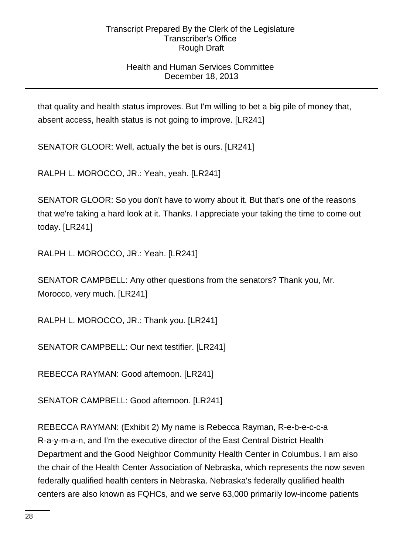# Health and Human Services Committee December 18, 2013

that quality and health status improves. But I'm willing to bet a big pile of money that, absent access, health status is not going to improve. [LR241]

SENATOR GLOOR: Well, actually the bet is ours. [LR241]

RALPH L. MOROCCO, JR.: Yeah, yeah. [LR241]

SENATOR GLOOR: So you don't have to worry about it. But that's one of the reasons that we're taking a hard look at it. Thanks. I appreciate your taking the time to come out today. [LR241]

RALPH L. MOROCCO, JR.: Yeah. [LR241]

SENATOR CAMPBELL: Any other questions from the senators? Thank you, Mr. Morocco, very much. [LR241]

RALPH L. MOROCCO, JR.: Thank you. [LR241]

SENATOR CAMPBELL: Our next testifier. [LR241]

REBECCA RAYMAN: Good afternoon. [LR241]

SENATOR CAMPBELL: Good afternoon. [LR241]

REBECCA RAYMAN: (Exhibit 2) My name is Rebecca Rayman, R-e-b-e-c-c-a R-a-y-m-a-n, and I'm the executive director of the East Central District Health Department and the Good Neighbor Community Health Center in Columbus. I am also the chair of the Health Center Association of Nebraska, which represents the now seven federally qualified health centers in Nebraska. Nebraska's federally qualified health centers are also known as FQHCs, and we serve 63,000 primarily low-income patients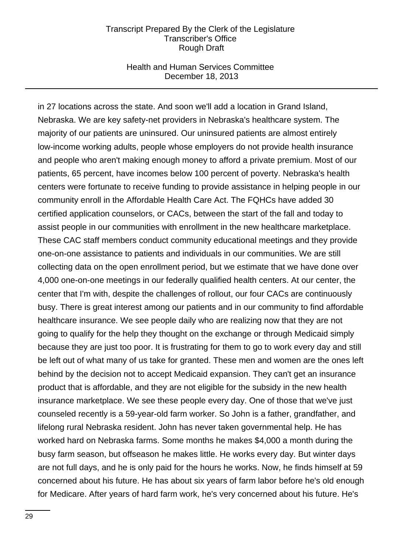## Health and Human Services Committee December 18, 2013

in 27 locations across the state. And soon we'll add a location in Grand Island, Nebraska. We are key safety-net providers in Nebraska's healthcare system. The majority of our patients are uninsured. Our uninsured patients are almost entirely low-income working adults, people whose employers do not provide health insurance and people who aren't making enough money to afford a private premium. Most of our patients, 65 percent, have incomes below 100 percent of poverty. Nebraska's health centers were fortunate to receive funding to provide assistance in helping people in our community enroll in the Affordable Health Care Act. The FQHCs have added 30 certified application counselors, or CACs, between the start of the fall and today to assist people in our communities with enrollment in the new healthcare marketplace. These CAC staff members conduct community educational meetings and they provide one-on-one assistance to patients and individuals in our communities. We are still collecting data on the open enrollment period, but we estimate that we have done over 4,000 one-on-one meetings in our federally qualified health centers. At our center, the center that I'm with, despite the challenges of rollout, our four CACs are continuously busy. There is great interest among our patients and in our community to find affordable healthcare insurance. We see people daily who are realizing now that they are not going to qualify for the help they thought on the exchange or through Medicaid simply because they are just too poor. It is frustrating for them to go to work every day and still be left out of what many of us take for granted. These men and women are the ones left behind by the decision not to accept Medicaid expansion. They can't get an insurance product that is affordable, and they are not eligible for the subsidy in the new health insurance marketplace. We see these people every day. One of those that we've just counseled recently is a 59-year-old farm worker. So John is a father, grandfather, and lifelong rural Nebraska resident. John has never taken governmental help. He has worked hard on Nebraska farms. Some months he makes \$4,000 a month during the busy farm season, but offseason he makes little. He works every day. But winter days are not full days, and he is only paid for the hours he works. Now, he finds himself at 59 concerned about his future. He has about six years of farm labor before he's old enough for Medicare. After years of hard farm work, he's very concerned about his future. He's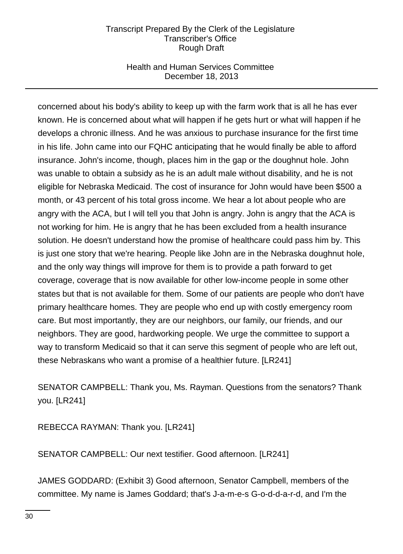# Health and Human Services Committee December 18, 2013

concerned about his body's ability to keep up with the farm work that is all he has ever known. He is concerned about what will happen if he gets hurt or what will happen if he develops a chronic illness. And he was anxious to purchase insurance for the first time in his life. John came into our FQHC anticipating that he would finally be able to afford insurance. John's income, though, places him in the gap or the doughnut hole. John was unable to obtain a subsidy as he is an adult male without disability, and he is not eligible for Nebraska Medicaid. The cost of insurance for John would have been \$500 a month, or 43 percent of his total gross income. We hear a lot about people who are angry with the ACA, but I will tell you that John is angry. John is angry that the ACA is not working for him. He is angry that he has been excluded from a health insurance solution. He doesn't understand how the promise of healthcare could pass him by. This is just one story that we're hearing. People like John are in the Nebraska doughnut hole, and the only way things will improve for them is to provide a path forward to get coverage, coverage that is now available for other low-income people in some other states but that is not available for them. Some of our patients are people who don't have primary healthcare homes. They are people who end up with costly emergency room care. But most importantly, they are our neighbors, our family, our friends, and our neighbors. They are good, hardworking people. We urge the committee to support a way to transform Medicaid so that it can serve this segment of people who are left out, these Nebraskans who want a promise of a healthier future. [LR241]

SENATOR CAMPBELL: Thank you, Ms. Rayman. Questions from the senators? Thank you. [LR241]

REBECCA RAYMAN: Thank you. [LR241]

SENATOR CAMPBELL: Our next testifier. Good afternoon. [LR241]

JAMES GODDARD: (Exhibit 3) Good afternoon, Senator Campbell, members of the committee. My name is James Goddard; that's J-a-m-e-s G-o-d-d-a-r-d, and I'm the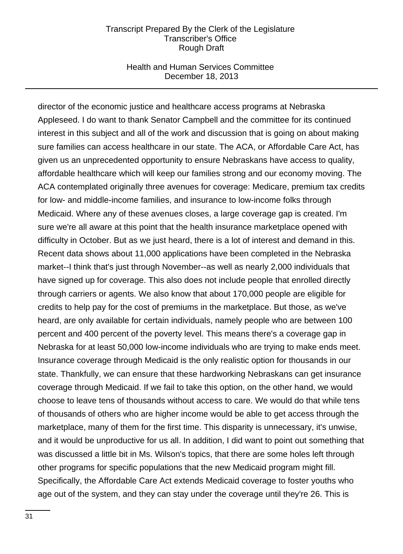### Health and Human Services Committee December 18, 2013

director of the economic justice and healthcare access programs at Nebraska Appleseed. I do want to thank Senator Campbell and the committee for its continued interest in this subject and all of the work and discussion that is going on about making sure families can access healthcare in our state. The ACA, or Affordable Care Act, has given us an unprecedented opportunity to ensure Nebraskans have access to quality, affordable healthcare which will keep our families strong and our economy moving. The ACA contemplated originally three avenues for coverage: Medicare, premium tax credits for low- and middle-income families, and insurance to low-income folks through Medicaid. Where any of these avenues closes, a large coverage gap is created. I'm sure we're all aware at this point that the health insurance marketplace opened with difficulty in October. But as we just heard, there is a lot of interest and demand in this. Recent data shows about 11,000 applications have been completed in the Nebraska market--I think that's just through November--as well as nearly 2,000 individuals that have signed up for coverage. This also does not include people that enrolled directly through carriers or agents. We also know that about 170,000 people are eligible for credits to help pay for the cost of premiums in the marketplace. But those, as we've heard, are only available for certain individuals, namely people who are between 100 percent and 400 percent of the poverty level. This means there's a coverage gap in Nebraska for at least 50,000 low-income individuals who are trying to make ends meet. Insurance coverage through Medicaid is the only realistic option for thousands in our state. Thankfully, we can ensure that these hardworking Nebraskans can get insurance coverage through Medicaid. If we fail to take this option, on the other hand, we would choose to leave tens of thousands without access to care. We would do that while tens of thousands of others who are higher income would be able to get access through the marketplace, many of them for the first time. This disparity is unnecessary, it's unwise, and it would be unproductive for us all. In addition, I did want to point out something that was discussed a little bit in Ms. Wilson's topics, that there are some holes left through other programs for specific populations that the new Medicaid program might fill. Specifically, the Affordable Care Act extends Medicaid coverage to foster youths who age out of the system, and they can stay under the coverage until they're 26. This is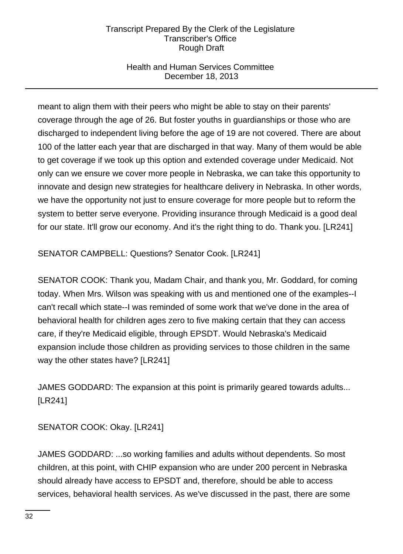# Health and Human Services Committee December 18, 2013

meant to align them with their peers who might be able to stay on their parents' coverage through the age of 26. But foster youths in guardianships or those who are discharged to independent living before the age of 19 are not covered. There are about 100 of the latter each year that are discharged in that way. Many of them would be able to get coverage if we took up this option and extended coverage under Medicaid. Not only can we ensure we cover more people in Nebraska, we can take this opportunity to innovate and design new strategies for healthcare delivery in Nebraska. In other words, we have the opportunity not just to ensure coverage for more people but to reform the system to better serve everyone. Providing insurance through Medicaid is a good deal for our state. It'll grow our economy. And it's the right thing to do. Thank you. [LR241]

SENATOR CAMPBELL: Questions? Senator Cook. [LR241]

SENATOR COOK: Thank you, Madam Chair, and thank you, Mr. Goddard, for coming today. When Mrs. Wilson was speaking with us and mentioned one of the examples--I can't recall which state--I was reminded of some work that we've done in the area of behavioral health for children ages zero to five making certain that they can access care, if they're Medicaid eligible, through EPSDT. Would Nebraska's Medicaid expansion include those children as providing services to those children in the same way the other states have? [LR241]

JAMES GODDARD: The expansion at this point is primarily geared towards adults... [LR241]

SENATOR COOK: Okay. [LR241]

JAMES GODDARD: ...so working families and adults without dependents. So most children, at this point, with CHIP expansion who are under 200 percent in Nebraska should already have access to EPSDT and, therefore, should be able to access services, behavioral health services. As we've discussed in the past, there are some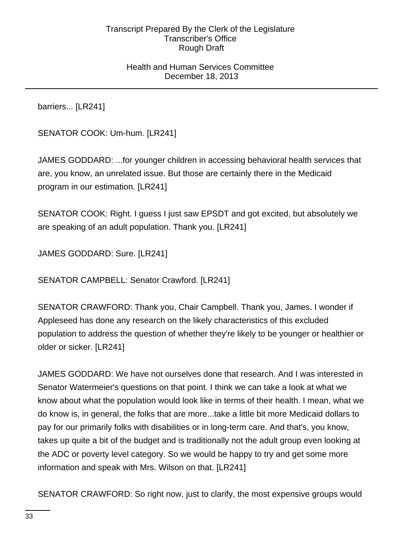## Health and Human Services Committee December 18, 2013

barriers... [LR241]

SENATOR COOK: Um-hum. [LR241]

JAMES GODDARD: ...for younger children in accessing behavioral health services that are, you know, an unrelated issue. But those are certainly there in the Medicaid program in our estimation. [LR241]

SENATOR COOK: Right. I guess I just saw EPSDT and got excited, but absolutely we are speaking of an adult population. Thank you. [LR241]

JAMES GODDARD: Sure. [LR241]

SENATOR CAMPBELL: Senator Crawford. [LR241]

SENATOR CRAWFORD: Thank you, Chair Campbell. Thank you, James. I wonder if Appleseed has done any research on the likely characteristics of this excluded population to address the question of whether they're likely to be younger or healthier or older or sicker. [LR241]

JAMES GODDARD: We have not ourselves done that research. And I was interested in Senator Watermeier's questions on that point. I think we can take a look at what we know about what the population would look like in terms of their health. I mean, what we do know is, in general, the folks that are more...take a little bit more Medicaid dollars to pay for our primarily folks with disabilities or in long-term care. And that's, you know, takes up quite a bit of the budget and is traditionally not the adult group even looking at the ADC or poverty level category. So we would be happy to try and get some more information and speak with Mrs. Wilson on that. [LR241]

SENATOR CRAWFORD: So right now, just to clarify, the most expensive groups would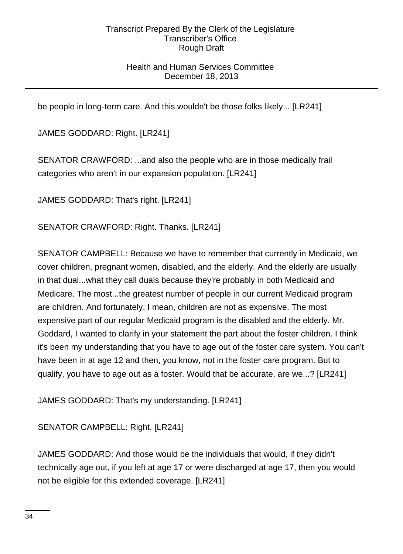# Health and Human Services Committee December 18, 2013

be people in long-term care. And this wouldn't be those folks likely... [LR241]

JAMES GODDARD: Right. [LR241]

SENATOR CRAWFORD: ...and also the people who are in those medically frail categories who aren't in our expansion population. [LR241]

JAMES GODDARD: That's right. [LR241]

SENATOR CRAWFORD: Right. Thanks. [LR241]

SENATOR CAMPBELL: Because we have to remember that currently in Medicaid, we cover children, pregnant women, disabled, and the elderly. And the elderly are usually in that dual...what they call duals because they're probably in both Medicaid and Medicare. The most...the greatest number of people in our current Medicaid program are children. And fortunately, I mean, children are not as expensive. The most expensive part of our regular Medicaid program is the disabled and the elderly. Mr. Goddard, I wanted to clarify in your statement the part about the foster children. I think it's been my understanding that you have to age out of the foster care system. You can't have been in at age 12 and then, you know, not in the foster care program. But to qualify, you have to age out as a foster. Would that be accurate, are we...? [LR241]

JAMES GODDARD: That's my understanding. [LR241]

SENATOR CAMPBELL: Right. [LR241]

JAMES GODDARD: And those would be the individuals that would, if they didn't technically age out, if you left at age 17 or were discharged at age 17, then you would not be eligible for this extended coverage. [LR241]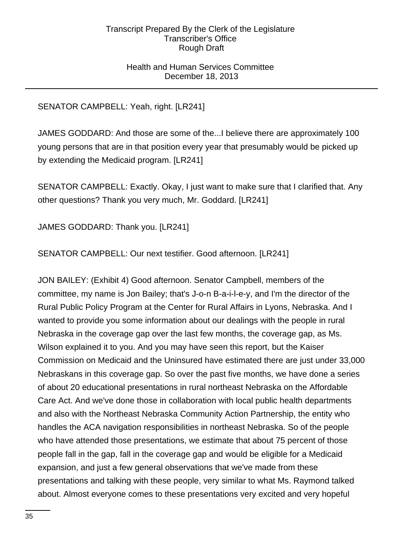## Health and Human Services Committee December 18, 2013

# SENATOR CAMPBELL: Yeah, right. [LR241]

JAMES GODDARD: And those are some of the...I believe there are approximately 100 young persons that are in that position every year that presumably would be picked up by extending the Medicaid program. [LR241]

SENATOR CAMPBELL: Exactly. Okay, I just want to make sure that I clarified that. Any other questions? Thank you very much, Mr. Goddard. [LR241]

JAMES GODDARD: Thank you. [LR241]

SENATOR CAMPBELL: Our next testifier. Good afternoon. [LR241]

JON BAILEY: (Exhibit 4) Good afternoon. Senator Campbell, members of the committee, my name is Jon Bailey; that's J-o-n B-a-i-l-e-y, and I'm the director of the Rural Public Policy Program at the Center for Rural Affairs in Lyons, Nebraska. And I wanted to provide you some information about our dealings with the people in rural Nebraska in the coverage gap over the last few months, the coverage gap, as Ms. Wilson explained it to you. And you may have seen this report, but the Kaiser Commission on Medicaid and the Uninsured have estimated there are just under 33,000 Nebraskans in this coverage gap. So over the past five months, we have done a series of about 20 educational presentations in rural northeast Nebraska on the Affordable Care Act. And we've done those in collaboration with local public health departments and also with the Northeast Nebraska Community Action Partnership, the entity who handles the ACA navigation responsibilities in northeast Nebraska. So of the people who have attended those presentations, we estimate that about 75 percent of those people fall in the gap, fall in the coverage gap and would be eligible for a Medicaid expansion, and just a few general observations that we've made from these presentations and talking with these people, very similar to what Ms. Raymond talked about. Almost everyone comes to these presentations very excited and very hopeful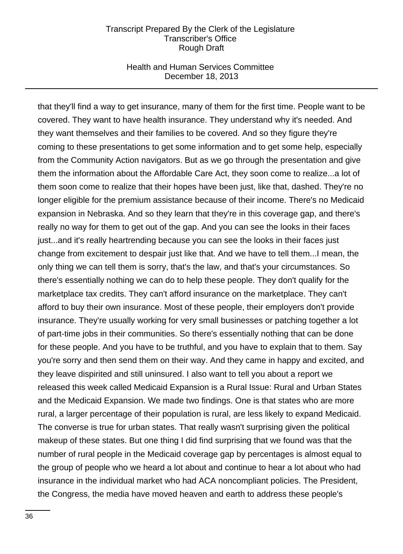### Health and Human Services Committee December 18, 2013

that they'll find a way to get insurance, many of them for the first time. People want to be covered. They want to have health insurance. They understand why it's needed. And they want themselves and their families to be covered. And so they figure they're coming to these presentations to get some information and to get some help, especially from the Community Action navigators. But as we go through the presentation and give them the information about the Affordable Care Act, they soon come to realize...a lot of them soon come to realize that their hopes have been just, like that, dashed. They're no longer eligible for the premium assistance because of their income. There's no Medicaid expansion in Nebraska. And so they learn that they're in this coverage gap, and there's really no way for them to get out of the gap. And you can see the looks in their faces just...and it's really heartrending because you can see the looks in their faces just change from excitement to despair just like that. And we have to tell them...I mean, the only thing we can tell them is sorry, that's the law, and that's your circumstances. So there's essentially nothing we can do to help these people. They don't qualify for the marketplace tax credits. They can't afford insurance on the marketplace. They can't afford to buy their own insurance. Most of these people, their employers don't provide insurance. They're usually working for very small businesses or patching together a lot of part-time jobs in their communities. So there's essentially nothing that can be done for these people. And you have to be truthful, and you have to explain that to them. Say you're sorry and then send them on their way. And they came in happy and excited, and they leave dispirited and still uninsured. I also want to tell you about a report we released this week called Medicaid Expansion is a Rural Issue: Rural and Urban States and the Medicaid Expansion. We made two findings. One is that states who are more rural, a larger percentage of their population is rural, are less likely to expand Medicaid. The converse is true for urban states. That really wasn't surprising given the political makeup of these states. But one thing I did find surprising that we found was that the number of rural people in the Medicaid coverage gap by percentages is almost equal to the group of people who we heard a lot about and continue to hear a lot about who had insurance in the individual market who had ACA noncompliant policies. The President, the Congress, the media have moved heaven and earth to address these people's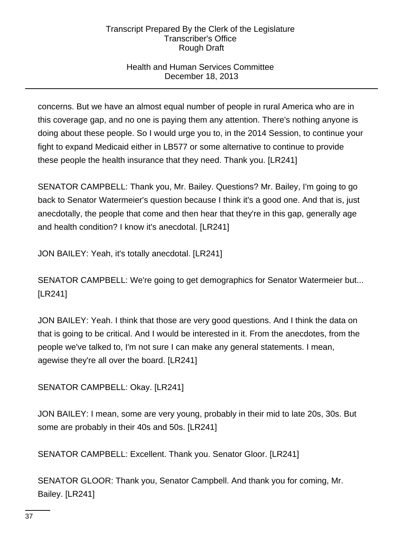# Health and Human Services Committee December 18, 2013

concerns. But we have an almost equal number of people in rural America who are in this coverage gap, and no one is paying them any attention. There's nothing anyone is doing about these people. So I would urge you to, in the 2014 Session, to continue your fight to expand Medicaid either in LB577 or some alternative to continue to provide these people the health insurance that they need. Thank you. [LR241]

SENATOR CAMPBELL: Thank you, Mr. Bailey. Questions? Mr. Bailey, I'm going to go back to Senator Watermeier's question because I think it's a good one. And that is, just anecdotally, the people that come and then hear that they're in this gap, generally age and health condition? I know it's anecdotal. [LR241]

JON BAILEY: Yeah, it's totally anecdotal. [LR241]

SENATOR CAMPBELL: We're going to get demographics for Senator Watermeier but... [LR241]

JON BAILEY: Yeah. I think that those are very good questions. And I think the data on that is going to be critical. And I would be interested in it. From the anecdotes, from the people we've talked to, I'm not sure I can make any general statements. I mean, agewise they're all over the board. [LR241]

SENATOR CAMPBELL: Okay. [LR241]

JON BAILEY: I mean, some are very young, probably in their mid to late 20s, 30s. But some are probably in their 40s and 50s. [LR241]

SENATOR CAMPBELL: Excellent. Thank you. Senator Gloor. [LR241]

SENATOR GLOOR: Thank you, Senator Campbell. And thank you for coming, Mr. Bailey. [LR241]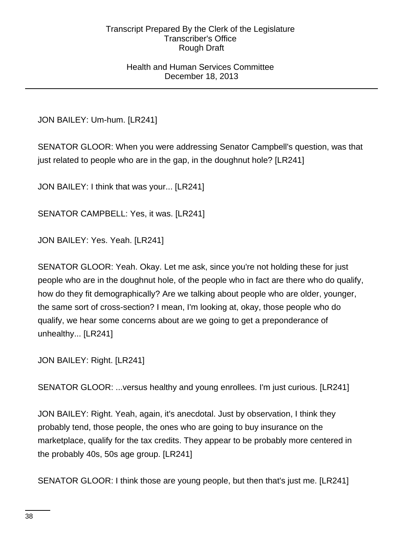## Health and Human Services Committee December 18, 2013

JON BAILEY: Um-hum. [LR241]

SENATOR GLOOR: When you were addressing Senator Campbell's question, was that just related to people who are in the gap, in the doughnut hole? [LR241]

JON BAILEY: I think that was your... [LR241]

SENATOR CAMPBELL: Yes, it was. [LR241]

JON BAILEY: Yes. Yeah. [LR241]

SENATOR GLOOR: Yeah. Okay. Let me ask, since you're not holding these for just people who are in the doughnut hole, of the people who in fact are there who do qualify, how do they fit demographically? Are we talking about people who are older, younger, the same sort of cross-section? I mean, I'm looking at, okay, those people who do qualify, we hear some concerns about are we going to get a preponderance of unhealthy... [LR241]

JON BAILEY: Right. [LR241]

SENATOR GLOOR: ...versus healthy and young enrollees. I'm just curious. [LR241]

JON BAILEY: Right. Yeah, again, it's anecdotal. Just by observation, I think they probably tend, those people, the ones who are going to buy insurance on the marketplace, qualify for the tax credits. They appear to be probably more centered in the probably 40s, 50s age group. [LR241]

SENATOR GLOOR: I think those are young people, but then that's just me. [LR241]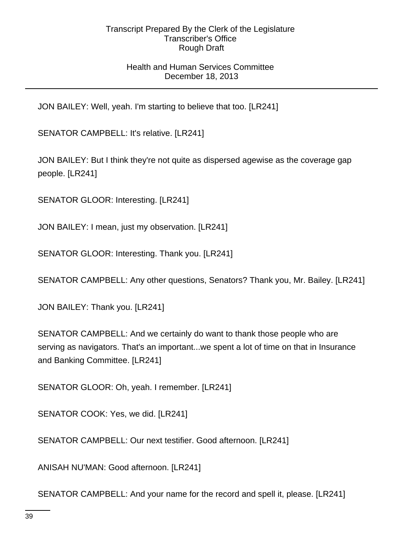## Health and Human Services Committee December 18, 2013

JON BAILEY: Well, yeah. I'm starting to believe that too. [LR241]

SENATOR CAMPBELL: It's relative. [LR241]

JON BAILEY: But I think they're not quite as dispersed agewise as the coverage gap people. [LR241]

SENATOR GLOOR: Interesting. [LR241]

JON BAILEY: I mean, just my observation. [LR241]

SENATOR GLOOR: Interesting. Thank you. [LR241]

SENATOR CAMPBELL: Any other questions, Senators? Thank you, Mr. Bailey. [LR241]

JON BAILEY: Thank you. [LR241]

SENATOR CAMPBELL: And we certainly do want to thank those people who are serving as navigators. That's an important...we spent a lot of time on that in Insurance and Banking Committee. [LR241]

SENATOR GLOOR: Oh, yeah. I remember. [LR241]

SENATOR COOK: Yes, we did. [LR241]

SENATOR CAMPBELL: Our next testifier. Good afternoon. [LR241]

ANISAH NU'MAN: Good afternoon. [LR241]

SENATOR CAMPBELL: And your name for the record and spell it, please. [LR241]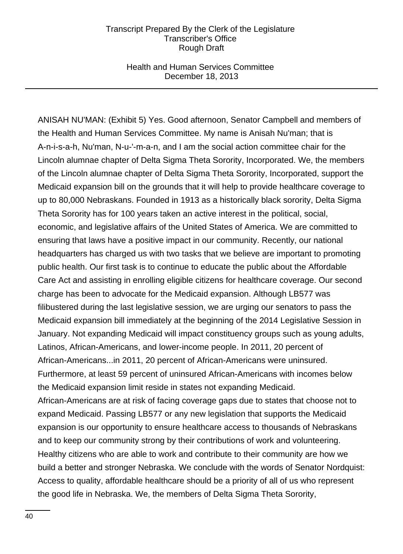## Health and Human Services Committee December 18, 2013

ANISAH NU'MAN: (Exhibit 5) Yes. Good afternoon, Senator Campbell and members of the Health and Human Services Committee. My name is Anisah Nu'man; that is A-n-i-s-a-h, Nu'man, N-u-'-m-a-n, and I am the social action committee chair for the Lincoln alumnae chapter of Delta Sigma Theta Sorority, Incorporated. We, the members of the Lincoln alumnae chapter of Delta Sigma Theta Sorority, Incorporated, support the Medicaid expansion bill on the grounds that it will help to provide healthcare coverage to up to 80,000 Nebraskans. Founded in 1913 as a historically black sorority, Delta Sigma Theta Sorority has for 100 years taken an active interest in the political, social, economic, and legislative affairs of the United States of America. We are committed to ensuring that laws have a positive impact in our community. Recently, our national headquarters has charged us with two tasks that we believe are important to promoting public health. Our first task is to continue to educate the public about the Affordable Care Act and assisting in enrolling eligible citizens for healthcare coverage. Our second charge has been to advocate for the Medicaid expansion. Although LB577 was filibustered during the last legislative session, we are urging our senators to pass the Medicaid expansion bill immediately at the beginning of the 2014 Legislative Session in January. Not expanding Medicaid will impact constituency groups such as young adults, Latinos, African-Americans, and lower-income people. In 2011, 20 percent of African-Americans...in 2011, 20 percent of African-Americans were uninsured. Furthermore, at least 59 percent of uninsured African-Americans with incomes below the Medicaid expansion limit reside in states not expanding Medicaid. African-Americans are at risk of facing coverage gaps due to states that choose not to expand Medicaid. Passing LB577 or any new legislation that supports the Medicaid expansion is our opportunity to ensure healthcare access to thousands of Nebraskans and to keep our community strong by their contributions of work and volunteering. Healthy citizens who are able to work and contribute to their community are how we build a better and stronger Nebraska. We conclude with the words of Senator Nordquist: Access to quality, affordable healthcare should be a priority of all of us who represent the good life in Nebraska. We, the members of Delta Sigma Theta Sorority,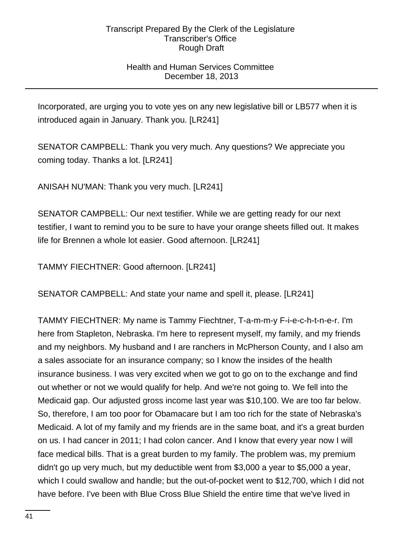# Health and Human Services Committee December 18, 2013

Incorporated, are urging you to vote yes on any new legislative bill or LB577 when it is introduced again in January. Thank you. [LR241]

SENATOR CAMPBELL: Thank you very much. Any questions? We appreciate you coming today. Thanks a lot. [LR241]

ANISAH NU'MAN: Thank you very much. [LR241]

SENATOR CAMPBELL: Our next testifier. While we are getting ready for our next testifier, I want to remind you to be sure to have your orange sheets filled out. It makes life for Brennen a whole lot easier. Good afternoon. [LR241]

TAMMY FIECHTNER: Good afternoon. [LR241]

SENATOR CAMPBELL: And state your name and spell it, please. [LR241]

TAMMY FIECHTNER: My name is Tammy Fiechtner, T-a-m-m-y F-i-e-c-h-t-n-e-r. I'm here from Stapleton, Nebraska. I'm here to represent myself, my family, and my friends and my neighbors. My husband and I are ranchers in McPherson County, and I also am a sales associate for an insurance company; so I know the insides of the health insurance business. I was very excited when we got to go on to the exchange and find out whether or not we would qualify for help. And we're not going to. We fell into the Medicaid gap. Our adjusted gross income last year was \$10,100. We are too far below. So, therefore, I am too poor for Obamacare but I am too rich for the state of Nebraska's Medicaid. A lot of my family and my friends are in the same boat, and it's a great burden on us. I had cancer in 2011; I had colon cancer. And I know that every year now I will face medical bills. That is a great burden to my family. The problem was, my premium didn't go up very much, but my deductible went from \$3,000 a year to \$5,000 a year, which I could swallow and handle; but the out-of-pocket went to \$12,700, which I did not have before. I've been with Blue Cross Blue Shield the entire time that we've lived in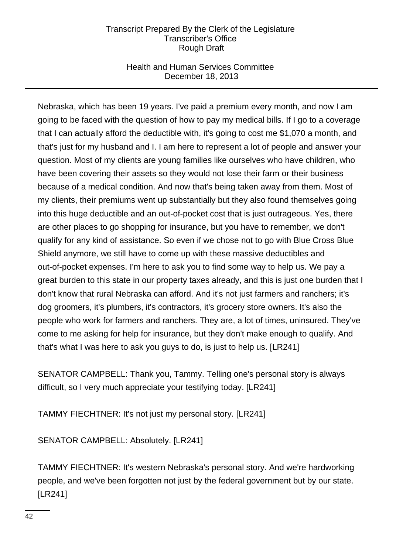# Health and Human Services Committee December 18, 2013

Nebraska, which has been 19 years. I've paid a premium every month, and now I am going to be faced with the question of how to pay my medical bills. If I go to a coverage that I can actually afford the deductible with, it's going to cost me \$1,070 a month, and that's just for my husband and I. I am here to represent a lot of people and answer your question. Most of my clients are young families like ourselves who have children, who have been covering their assets so they would not lose their farm or their business because of a medical condition. And now that's being taken away from them. Most of my clients, their premiums went up substantially but they also found themselves going into this huge deductible and an out-of-pocket cost that is just outrageous. Yes, there are other places to go shopping for insurance, but you have to remember, we don't qualify for any kind of assistance. So even if we chose not to go with Blue Cross Blue Shield anymore, we still have to come up with these massive deductibles and out-of-pocket expenses. I'm here to ask you to find some way to help us. We pay a great burden to this state in our property taxes already, and this is just one burden that I don't know that rural Nebraska can afford. And it's not just farmers and ranchers; it's dog groomers, it's plumbers, it's contractors, it's grocery store owners. It's also the people who work for farmers and ranchers. They are, a lot of times, uninsured. They've come to me asking for help for insurance, but they don't make enough to qualify. And that's what I was here to ask you guys to do, is just to help us. [LR241]

SENATOR CAMPBELL: Thank you, Tammy. Telling one's personal story is always difficult, so I very much appreciate your testifying today. [LR241]

TAMMY FIECHTNER: It's not just my personal story. [LR241]

SENATOR CAMPBELL: Absolutely. [LR241]

TAMMY FIECHTNER: It's western Nebraska's personal story. And we're hardworking people, and we've been forgotten not just by the federal government but by our state. [LR241]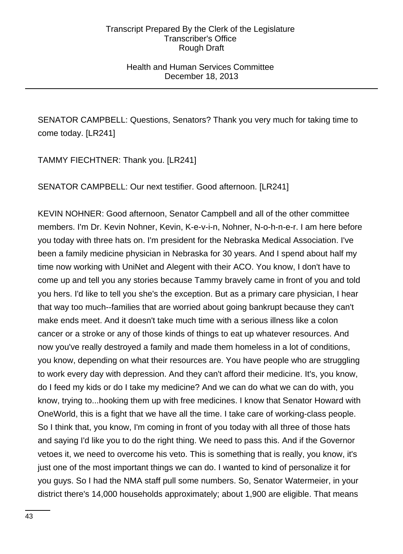## Health and Human Services Committee December 18, 2013

SENATOR CAMPBELL: Questions, Senators? Thank you very much for taking time to come today. [LR241]

TAMMY FIECHTNER: Thank you. [LR241]

SENATOR CAMPBELL: Our next testifier. Good afternoon. [LR241]

KEVIN NOHNER: Good afternoon, Senator Campbell and all of the other committee members. I'm Dr. Kevin Nohner, Kevin, K-e-v-i-n, Nohner, N-o-h-n-e-r. I am here before you today with three hats on. I'm president for the Nebraska Medical Association. I've been a family medicine physician in Nebraska for 30 years. And I spend about half my time now working with UniNet and Alegent with their ACO. You know, I don't have to come up and tell you any stories because Tammy bravely came in front of you and told you hers. I'd like to tell you she's the exception. But as a primary care physician, I hear that way too much--families that are worried about going bankrupt because they can't make ends meet. And it doesn't take much time with a serious illness like a colon cancer or a stroke or any of those kinds of things to eat up whatever resources. And now you've really destroyed a family and made them homeless in a lot of conditions, you know, depending on what their resources are. You have people who are struggling to work every day with depression. And they can't afford their medicine. It's, you know, do I feed my kids or do I take my medicine? And we can do what we can do with, you know, trying to...hooking them up with free medicines. I know that Senator Howard with OneWorld, this is a fight that we have all the time. I take care of working-class people. So I think that, you know, I'm coming in front of you today with all three of those hats and saying I'd like you to do the right thing. We need to pass this. And if the Governor vetoes it, we need to overcome his veto. This is something that is really, you know, it's just one of the most important things we can do. I wanted to kind of personalize it for you guys. So I had the NMA staff pull some numbers. So, Senator Watermeier, in your district there's 14,000 households approximately; about 1,900 are eligible. That means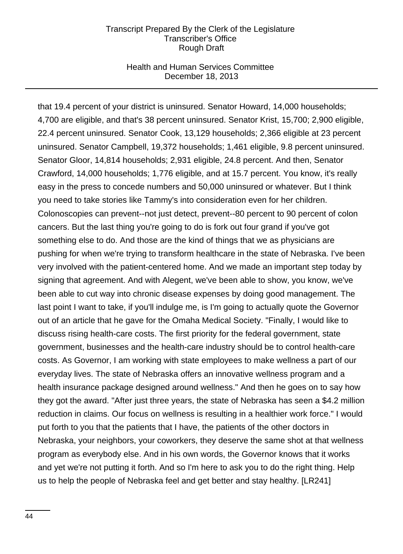### Health and Human Services Committee December 18, 2013

that 19.4 percent of your district is uninsured. Senator Howard, 14,000 households; 4,700 are eligible, and that's 38 percent uninsured. Senator Krist, 15,700; 2,900 eligible, 22.4 percent uninsured. Senator Cook, 13,129 households; 2,366 eligible at 23 percent uninsured. Senator Campbell, 19,372 households; 1,461 eligible, 9.8 percent uninsured. Senator Gloor, 14,814 households; 2,931 eligible, 24.8 percent. And then, Senator Crawford, 14,000 households; 1,776 eligible, and at 15.7 percent. You know, it's really easy in the press to concede numbers and 50,000 uninsured or whatever. But I think you need to take stories like Tammy's into consideration even for her children. Colonoscopies can prevent--not just detect, prevent--80 percent to 90 percent of colon cancers. But the last thing you're going to do is fork out four grand if you've got something else to do. And those are the kind of things that we as physicians are pushing for when we're trying to transform healthcare in the state of Nebraska. I've been very involved with the patient-centered home. And we made an important step today by signing that agreement. And with Alegent, we've been able to show, you know, we've been able to cut way into chronic disease expenses by doing good management. The last point I want to take, if you'll indulge me, is I'm going to actually quote the Governor out of an article that he gave for the Omaha Medical Society. "Finally, I would like to discuss rising health-care costs. The first priority for the federal government, state government, businesses and the health-care industry should be to control health-care costs. As Governor, I am working with state employees to make wellness a part of our everyday lives. The state of Nebraska offers an innovative wellness program and a health insurance package designed around wellness." And then he goes on to say how they got the award. "After just three years, the state of Nebraska has seen a \$4.2 million reduction in claims. Our focus on wellness is resulting in a healthier work force." I would put forth to you that the patients that I have, the patients of the other doctors in Nebraska, your neighbors, your coworkers, they deserve the same shot at that wellness program as everybody else. And in his own words, the Governor knows that it works and yet we're not putting it forth. And so I'm here to ask you to do the right thing. Help us to help the people of Nebraska feel and get better and stay healthy. [LR241]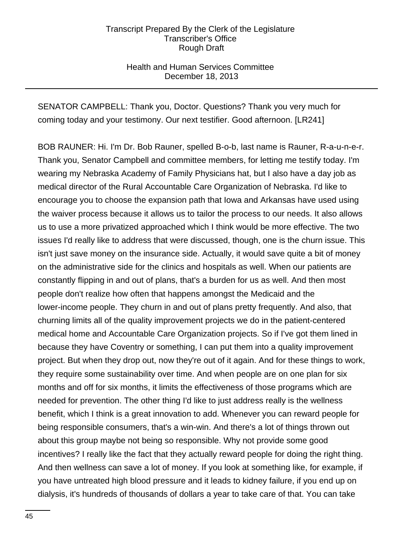## Health and Human Services Committee December 18, 2013

SENATOR CAMPBELL: Thank you, Doctor. Questions? Thank you very much for coming today and your testimony. Our next testifier. Good afternoon. [LR241]

BOB RAUNER: Hi. I'm Dr. Bob Rauner, spelled B-o-b, last name is Rauner, R-a-u-n-e-r. Thank you, Senator Campbell and committee members, for letting me testify today. I'm wearing my Nebraska Academy of Family Physicians hat, but I also have a day job as medical director of the Rural Accountable Care Organization of Nebraska. I'd like to encourage you to choose the expansion path that Iowa and Arkansas have used using the waiver process because it allows us to tailor the process to our needs. It also allows us to use a more privatized approached which I think would be more effective. The two issues I'd really like to address that were discussed, though, one is the churn issue. This isn't just save money on the insurance side. Actually, it would save quite a bit of money on the administrative side for the clinics and hospitals as well. When our patients are constantly flipping in and out of plans, that's a burden for us as well. And then most people don't realize how often that happens amongst the Medicaid and the lower-income people. They churn in and out of plans pretty frequently. And also, that churning limits all of the quality improvement projects we do in the patient-centered medical home and Accountable Care Organization projects. So if I've got them lined in because they have Coventry or something, I can put them into a quality improvement project. But when they drop out, now they're out of it again. And for these things to work, they require some sustainability over time. And when people are on one plan for six months and off for six months, it limits the effectiveness of those programs which are needed for prevention. The other thing I'd like to just address really is the wellness benefit, which I think is a great innovation to add. Whenever you can reward people for being responsible consumers, that's a win-win. And there's a lot of things thrown out about this group maybe not being so responsible. Why not provide some good incentives? I really like the fact that they actually reward people for doing the right thing. And then wellness can save a lot of money. If you look at something like, for example, if you have untreated high blood pressure and it leads to kidney failure, if you end up on dialysis, it's hundreds of thousands of dollars a year to take care of that. You can take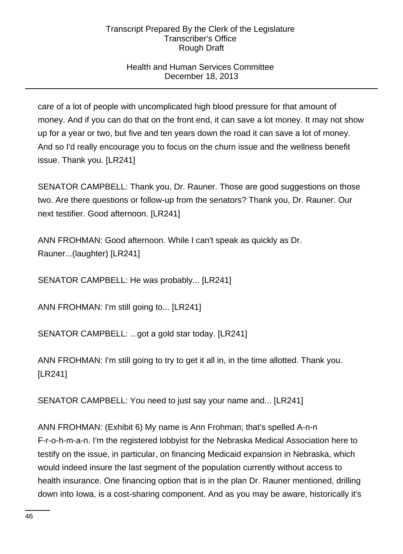# Health and Human Services Committee December 18, 2013

care of a lot of people with uncomplicated high blood pressure for that amount of money. And if you can do that on the front end, it can save a lot money. It may not show up for a year or two, but five and ten years down the road it can save a lot of money. And so I'd really encourage you to focus on the churn issue and the wellness benefit issue. Thank you. [LR241]

SENATOR CAMPBELL: Thank you, Dr. Rauner. Those are good suggestions on those two. Are there questions or follow-up from the senators? Thank you, Dr. Rauner. Our next testifier. Good afternoon. [LR241]

ANN FROHMAN: Good afternoon. While I can't speak as quickly as Dr. Rauner...(laughter) [LR241]

SENATOR CAMPBELL: He was probably... [LR241]

ANN FROHMAN: I'm still going to... [LR241]

SENATOR CAMPBELL: ...got a gold star today. [LR241]

ANN FROHMAN: I'm still going to try to get it all in, in the time allotted. Thank you. [LR241]

SENATOR CAMPBELL: You need to just say your name and... [LR241]

ANN FROHMAN: (Exhibit 6) My name is Ann Frohman; that's spelled A-n-n F-r-o-h-m-a-n. I'm the registered lobbyist for the Nebraska Medical Association here to testify on the issue, in particular, on financing Medicaid expansion in Nebraska, which would indeed insure the last segment of the population currently without access to health insurance. One financing option that is in the plan Dr. Rauner mentioned, drilling down into Iowa, is a cost-sharing component. And as you may be aware, historically it's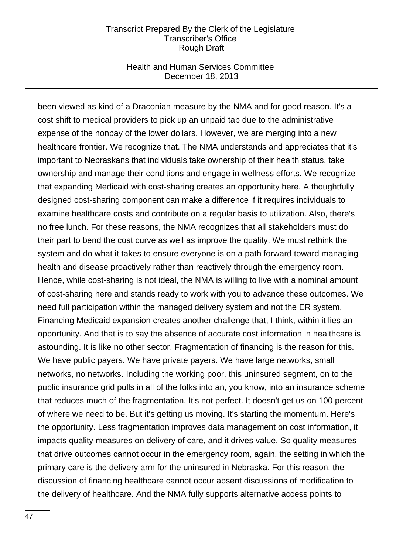### Health and Human Services Committee December 18, 2013

been viewed as kind of a Draconian measure by the NMA and for good reason. It's a cost shift to medical providers to pick up an unpaid tab due to the administrative expense of the nonpay of the lower dollars. However, we are merging into a new healthcare frontier. We recognize that. The NMA understands and appreciates that it's important to Nebraskans that individuals take ownership of their health status, take ownership and manage their conditions and engage in wellness efforts. We recognize that expanding Medicaid with cost-sharing creates an opportunity here. A thoughtfully designed cost-sharing component can make a difference if it requires individuals to examine healthcare costs and contribute on a regular basis to utilization. Also, there's no free lunch. For these reasons, the NMA recognizes that all stakeholders must do their part to bend the cost curve as well as improve the quality. We must rethink the system and do what it takes to ensure everyone is on a path forward toward managing health and disease proactively rather than reactively through the emergency room. Hence, while cost-sharing is not ideal, the NMA is willing to live with a nominal amount of cost-sharing here and stands ready to work with you to advance these outcomes. We need full participation within the managed delivery system and not the ER system. Financing Medicaid expansion creates another challenge that, I think, within it lies an opportunity. And that is to say the absence of accurate cost information in healthcare is astounding. It is like no other sector. Fragmentation of financing is the reason for this. We have public payers. We have private payers. We have large networks, small networks, no networks. Including the working poor, this uninsured segment, on to the public insurance grid pulls in all of the folks into an, you know, into an insurance scheme that reduces much of the fragmentation. It's not perfect. It doesn't get us on 100 percent of where we need to be. But it's getting us moving. It's starting the momentum. Here's the opportunity. Less fragmentation improves data management on cost information, it impacts quality measures on delivery of care, and it drives value. So quality measures that drive outcomes cannot occur in the emergency room, again, the setting in which the primary care is the delivery arm for the uninsured in Nebraska. For this reason, the discussion of financing healthcare cannot occur absent discussions of modification to the delivery of healthcare. And the NMA fully supports alternative access points to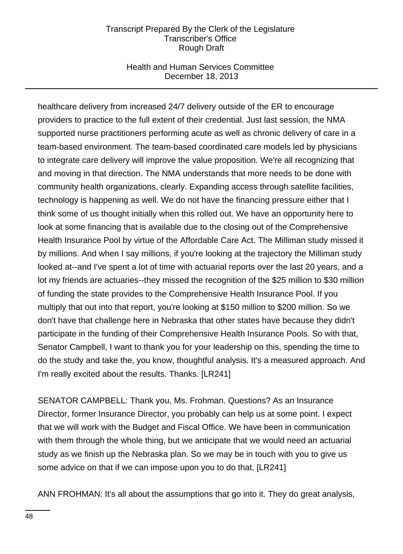## Health and Human Services Committee December 18, 2013

healthcare delivery from increased 24/7 delivery outside of the ER to encourage providers to practice to the full extent of their credential. Just last session, the NMA supported nurse practitioners performing acute as well as chronic delivery of care in a team-based environment. The team-based coordinated care models led by physicians to integrate care delivery will improve the value proposition. We're all recognizing that and moving in that direction. The NMA understands that more needs to be done with community health organizations, clearly. Expanding access through satellite facilities, technology is happening as well. We do not have the financing pressure either that I think some of us thought initially when this rolled out. We have an opportunity here to look at some financing that is available due to the closing out of the Comprehensive Health Insurance Pool by virtue of the Affordable Care Act. The Milliman study missed it by millions. And when I say millions, if you're looking at the trajectory the Milliman study looked at--and I've spent a lot of time with actuarial reports over the last 20 years, and a lot my friends are actuaries--they missed the recognition of the \$25 million to \$30 million of funding the state provides to the Comprehensive Health Insurance Pool. If you multiply that out into that report, you're looking at \$150 million to \$200 million. So we don't have that challenge here in Nebraska that other states have because they didn't participate in the funding of their Comprehensive Health Insurance Pools. So with that, Senator Campbell, I want to thank you for your leadership on this, spending the time to do the study and take the, you know, thoughtful analysis. It's a measured approach. And I'm really excited about the results. Thanks. [LR241]

SENATOR CAMPBELL: Thank you, Ms. Frohman. Questions? As an Insurance Director, former Insurance Director, you probably can help us at some point. I expect that we will work with the Budget and Fiscal Office. We have been in communication with them through the whole thing, but we anticipate that we would need an actuarial study as we finish up the Nebraska plan. So we may be in touch with you to give us some advice on that if we can impose upon you to do that. [LR241]

ANN FROHMAN: It's all about the assumptions that go into it. They do great analysis,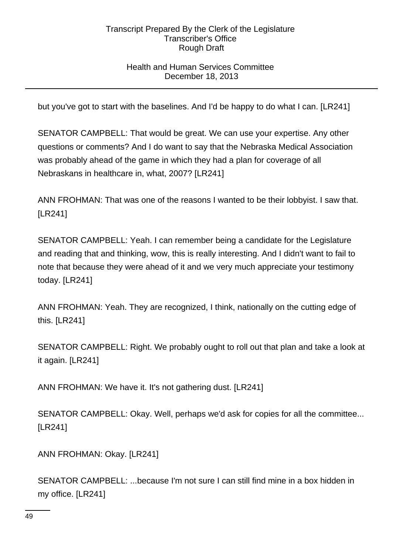# Health and Human Services Committee December 18, 2013

but you've got to start with the baselines. And I'd be happy to do what I can. [LR241]

SENATOR CAMPBELL: That would be great. We can use your expertise. Any other questions or comments? And I do want to say that the Nebraska Medical Association was probably ahead of the game in which they had a plan for coverage of all Nebraskans in healthcare in, what, 2007? [LR241]

ANN FROHMAN: That was one of the reasons I wanted to be their lobbyist. I saw that. [LR241]

SENATOR CAMPBELL: Yeah. I can remember being a candidate for the Legislature and reading that and thinking, wow, this is really interesting. And I didn't want to fail to note that because they were ahead of it and we very much appreciate your testimony today. [LR241]

ANN FROHMAN: Yeah. They are recognized, I think, nationally on the cutting edge of this. [LR241]

SENATOR CAMPBELL: Right. We probably ought to roll out that plan and take a look at it again. [LR241]

ANN FROHMAN: We have it. It's not gathering dust. [LR241]

SENATOR CAMPBELL: Okay. Well, perhaps we'd ask for copies for all the committee... [LR241]

ANN FROHMAN: Okay. [LR241]

SENATOR CAMPBELL: ...because I'm not sure I can still find mine in a box hidden in my office. [LR241]